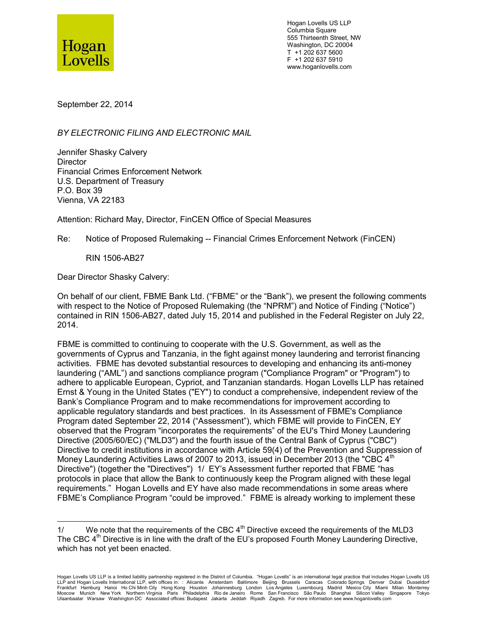

Hogan Lovells US LLP Columbia Square 555 Thirteenth Street, NW Washington, DC 20004 T +1 202 637 5600 F +1 202 637 5910 www.hoganlovells.com

September 22, 2014

*BY ELECTRONIC FILING AND ELECTRONIC MAIL*

Jennifer Shasky Calvery **Director** Financial Crimes Enforcement Network U.S. Department of Treasury P.O. Box 39 Vienna, VA 22183

Attention: Richard May, Director, FinCEN Office of Special Measures

Re: Notice of Proposed Rulemaking -- Financial Crimes Enforcement Network (FinCEN)

RIN 1506-AB27

Dear Director Shasky Calvery:

On behalf of our client, FBME Bank Ltd. ("FBME" or the "Bank"), we present the following comments with respect to the Notice of Proposed Rulemaking (the "NPRM") and Notice of Finding ("Notice") contained in RIN 1506-AB27, dated July 15, 2014 and published in the Federal Register on July 22, 2014.

FBME is committed to continuing to cooperate with the U.S. Government, as well as the governments of Cyprus and Tanzania, in the fight against money laundering and terrorist financing activities. FBME has devoted substantial resources to developing and enhancing its anti-money laundering ("AML") and sanctions compliance program ("Compliance Program" or "Program") to adhere to applicable European, Cypriot, and Tanzanian standards. Hogan Lovells LLP has retained Ernst & Young in the United States ("EY") to conduct a comprehensive, independent review of the Bank's Compliance Program and to make recommendations for improvement according to applicable regulatory standards and best practices. In its Assessment of FBME's Compliance Program dated September 22, 2014 ("Assessment"), which FBME will provide to FinCEN, EY observed that the Program "incorporates the requirements" of the EU's Third Money Laundering Directive (2005/60/EC) ("MLD3") and the fourth issue of the Central Bank of Cyprus ("CBC") Directive to credit institutions in accordance with Article 59(4) of the Prevention and Suppression of Money Laundering Activities Laws of 2007 to 2013, issued in December 2013 (the "CBC 4<sup>th</sup> Directive") (together the "Directives") 1/ EY's Assessment further reported that FBME "has protocols in place that allow the Bank to continuously keep the Program aligned with these legal requirements." Hogan Lovells and EY have also made recommendations in some areas where FBME's Compliance Program "could be improved." FBME is already working to implement these

<sup>1/</sup> We note that the requirements of the CBC  $4<sup>th</sup>$  Directive exceed the requirements of the MLD3 The CBC 4<sup>th</sup> Directive is in line with the draft of the EU's proposed Fourth Money Laundering Directive, which has not yet been enacted.

Hogan Lovells US LLP is a limited liability partnership registered in the District of Columbia. "Hogan Lovells" is an international legal practice that includes Hogan Lovells US LLP and Hogan Lovells International LLP, with offices in: : Alicante Amsterdam Baltimore Beijing Brussels Caracas Colorado Springs Denver Dubai Dusseldorf Frankfurt Hamburg Hanoi HoChi-Minh-City Hong-Kong Houston Johannesburg London Los-Angeles Luxembourg Madrid Mexico-City Miami Milan Monterrey<br>Moscow Munich New-York Northern-Virginia Paris Philadelphia Rio-de-Janeiro Rome Ulaanbaatar Warsaw Washington DC Associated offices: Budapest Jakarta Jeddah Riyadh Zagreb. For more information see www.hoganlovells.com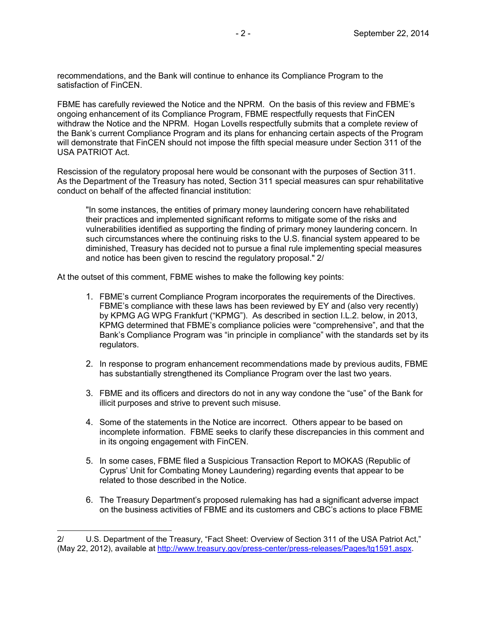recommendations, and the Bank will continue to enhance its Compliance Program to the satisfaction of FinCEN.

FBME has carefully reviewed the Notice and the NPRM. On the basis of this review and FBME's ongoing enhancement of its Compliance Program, FBME respectfully requests that FinCEN withdraw the Notice and the NPRM. Hogan Lovells respectfully submits that a complete review of the Bank's current Compliance Program and its plans for enhancing certain aspects of the Program will demonstrate that FinCEN should not impose the fifth special measure under Section 311 of the USA PATRIOT Act.

Rescission of the regulatory proposal here would be consonant with the purposes of Section 311. As the Department of the Treasury has noted, Section 311 special measures can spur rehabilitative conduct on behalf of the affected financial institution:

"In some instances, the entities of primary money laundering concern have rehabilitated their practices and implemented significant reforms to mitigate some of the risks and vulnerabilities identified as supporting the finding of primary money laundering concern. In such circumstances where the continuing risks to the U.S. financial system appeared to be diminished, Treasury has decided not to pursue a final rule implementing special measures and notice has been given to rescind the regulatory proposal." 2/

At the outset of this comment, FBME wishes to make the following key points:

- 1. FBME's current Compliance Program incorporates the requirements of the Directives. FBME's compliance with these laws has been reviewed by EY and (also very recently) by KPMG AG WPG Frankfurt ("KPMG"). As described in section I.L.2. below, in 2013, KPMG determined that FBME's compliance policies were "comprehensive", and that the Bank's Compliance Program was "in principle in compliance" with the standards set by its regulators.
- 2. In response to program enhancement recommendations made by previous audits, FBME has substantially strengthened its Compliance Program over the last two years.
- 3. FBME and its officers and directors do not in any way condone the "use" of the Bank for illicit purposes and strive to prevent such misuse.
- 4. Some of the statements in the Notice are incorrect. Others appear to be based on incomplete information. FBME seeks to clarify these discrepancies in this comment and in its ongoing engagement with FinCEN.
- 5. In some cases, FBME filed a Suspicious Transaction Report to MOKAS (Republic of Cyprus' Unit for Combating Money Laundering) regarding events that appear to be related to those described in the Notice.
- 6. The Treasury Department's proposed rulemaking has had a significant adverse impact on the business activities of FBME and its customers and CBC's actions to place FBME

<sup>2/</sup> U.S. Department of the Treasury, "Fact Sheet: Overview of Section 311 of the USA Patriot Act," (May 22, 2012), available at http://www.treasury.gov/press-center/press-releases/Pages/tg1591.aspx.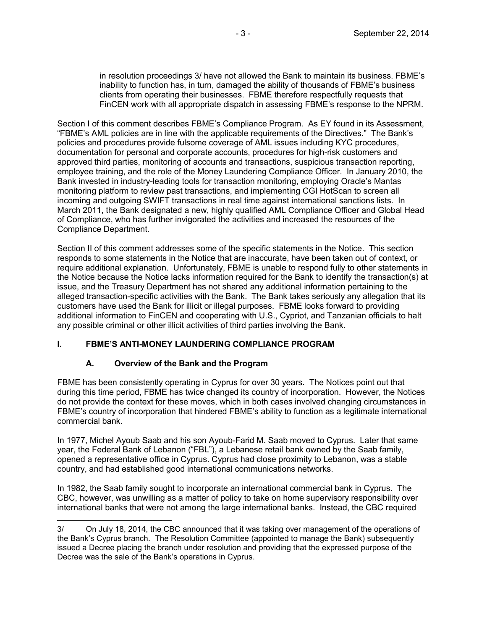in resolution proceedings 3/ have not allowed the Bank to maintain its business. FBME's inability to function has, in turn, damaged the ability of thousands of FBME's business clients from operating their businesses. FBME therefore respectfully requests that FinCEN work with all appropriate dispatch in assessing FBME's response to the NPRM.

Section I of this comment describes FBME's Compliance Program. As EY found in its Assessment, "FBME's AML policies are in line with the applicable requirements of the Directives." The Bank's policies and procedures provide fulsome coverage of AML issues including KYC procedures, documentation for personal and corporate accounts, procedures for high-risk customers and approved third parties, monitoring of accounts and transactions, suspicious transaction reporting, employee training, and the role of the Money Laundering Compliance Officer. In January 2010, the Bank invested in industry-leading tools for transaction monitoring, employing Oracle's Mantas monitoring platform to review past transactions, and implementing CGI HotScan to screen all incoming and outgoing SWIFT transactions in real time against international sanctions lists. In March 2011, the Bank designated a new, highly qualified AML Compliance Officer and Global Head of Compliance, who has further invigorated the activities and increased the resources of the Compliance Department.

Section II of this comment addresses some of the specific statements in the Notice. This section responds to some statements in the Notice that are inaccurate, have been taken out of context, or require additional explanation. Unfortunately, FBME is unable to respond fully to other statements in the Notice because the Notice lacks information required for the Bank to identify the transaction(s) at issue, and the Treasury Department has not shared any additional information pertaining to the alleged transaction-specific activities with the Bank. The Bank takes seriously any allegation that its customers have used the Bank for illicit or illegal purposes. FBME looks forward to providing additional information to FinCEN and cooperating with U.S., Cypriot, and Tanzanian officials to halt any possible criminal or other illicit activities of third parties involving the Bank.

### **I. FBME'S ANTI-MONEY LAUNDERING COMPLIANCE PROGRAM**

### **A. Overview of the Bank and the Program**

FBME has been consistently operating in Cyprus for over 30 years. The Notices point out that during this time period, FBME has twice changed its country of incorporation. However, the Notices do not provide the context for these moves, which in both cases involved changing circumstances in FBME's country of incorporation that hindered FBME's ability to function as a legitimate international commercial bank.

In 1977, Michel Ayoub Saab and his son Ayoub-Farid M. Saab moved to Cyprus. Later that same year, the Federal Bank of Lebanon ("FBL"), a Lebanese retail bank owned by the Saab family, opened a representative office in Cyprus. Cyprus had close proximity to Lebanon, was a stable country, and had established good international communications networks.

In 1982, the Saab family sought to incorporate an international commercial bank in Cyprus. The CBC, however, was unwilling as a matter of policy to take on home supervisory responsibility over international banks that were not among the large international banks. Instead, the CBC required

<sup>3/</sup> On July 18, 2014, the CBC announced that it was taking over management of the operations of the Bank's Cyprus branch. The Resolution Committee (appointed to manage the Bank) subsequently issued a Decree placing the branch under resolution and providing that the expressed purpose of the Decree was the sale of the Bank's operations in Cyprus.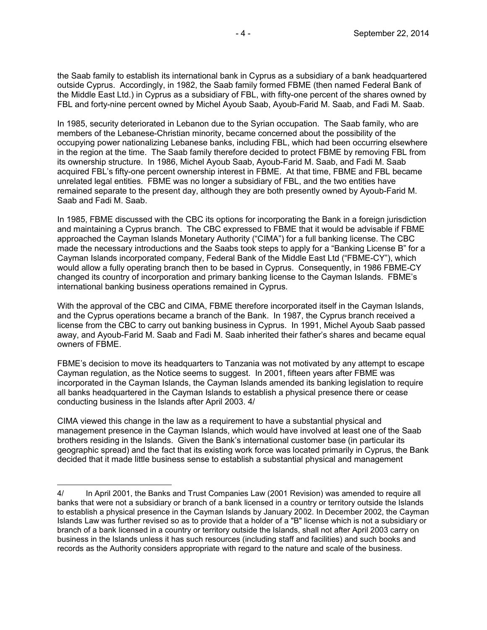the Saab family to establish its international bank in Cyprus as a subsidiary of a bank headquartered outside Cyprus. Accordingly, in 1982, the Saab family formed FBME (then named Federal Bank of the Middle East Ltd.) in Cyprus as a subsidiary of FBL, with fifty-one percent of the shares owned by FBL and forty-nine percent owned by Michel Ayoub Saab, Ayoub-Farid M. Saab, and Fadi M. Saab.

In 1985, security deteriorated in Lebanon due to the Syrian occupation. The Saab family, who are members of the Lebanese-Christian minority, became concerned about the possibility of the occupying power nationalizing Lebanese banks, including FBL, which had been occurring elsewhere in the region at the time. The Saab family therefore decided to protect FBME by removing FBL from its ownership structure. In 1986, Michel Ayoub Saab, Ayoub-Farid M. Saab, and Fadi M. Saab acquired FBL's fifty-one percent ownership interest in FBME. At that time, FBME and FBL became unrelated legal entities. FBME was no longer a subsidiary of FBL, and the two entities have remained separate to the present day, although they are both presently owned by Ayoub-Farid M. Saab and Fadi M. Saab.

In 1985, FBME discussed with the CBC its options for incorporating the Bank in a foreign jurisdiction and maintaining a Cyprus branch. The CBC expressed to FBME that it would be advisable if FBME approached the Cayman Islands Monetary Authority ("CIMA") for a full banking license. The CBC made the necessary introductions and the Saabs took steps to apply for a "Banking License B" for a Cayman Islands incorporated company, Federal Bank of the Middle East Ltd ("FBME-CY"), which would allow a fully operating branch then to be based in Cyprus. Consequently, in 1986 FBME-CY changed its country of incorporation and primary banking license to the Cayman Islands. FBME's international banking business operations remained in Cyprus.

With the approval of the CBC and CIMA, FBME therefore incorporated itself in the Cayman Islands, and the Cyprus operations became a branch of the Bank. In 1987, the Cyprus branch received a license from the CBC to carry out banking business in Cyprus. In 1991, Michel Ayoub Saab passed away, and Ayoub-Farid M. Saab and Fadi M. Saab inherited their father's shares and became equal owners of FBME.

FBME's decision to move its headquarters to Tanzania was not motivated by any attempt to escape Cayman regulation, as the Notice seems to suggest. In 2001, fifteen years after FBME was incorporated in the Cayman Islands, the Cayman Islands amended its banking legislation to require all banks headquartered in the Cayman Islands to establish a physical presence there or cease conducting business in the Islands after April 2003. 4/

CIMA viewed this change in the law as a requirement to have a substantial physical and management presence in the Cayman Islands, which would have involved at least one of the Saab brothers residing in the Islands. Given the Bank's international customer base (in particular its geographic spread) and the fact that its existing work force was located primarily in Cyprus, the Bank decided that it made little business sense to establish a substantial physical and management

<sup>4/</sup> In April 2001, the Banks and Trust Companies Law (2001 Revision) was amended to require all banks that were not a subsidiary or branch of a bank licensed in a country or territory outside the Islands to establish a physical presence in the Cayman Islands by January 2002. In December 2002, the Cayman Islands Law was further revised so as to provide that a holder of a "B" license which is not a subsidiary or branch of a bank licensed in a country or territory outside the Islands, shall not after April 2003 carry on business in the Islands unless it has such resources (including staff and facilities) and such books and records as the Authority considers appropriate with regard to the nature and scale of the business.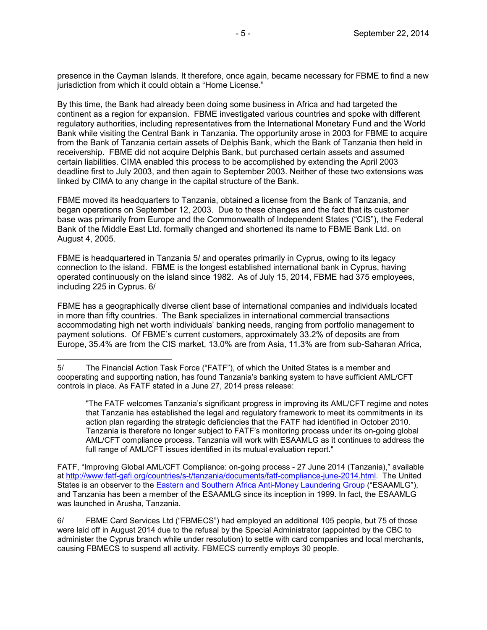presence in the Cayman Islands. It therefore, once again, became necessary for FBME to find a new jurisdiction from which it could obtain a "Home License."

By this time, the Bank had already been doing some business in Africa and had targeted the continent as a region for expansion. FBME investigated various countries and spoke with different regulatory authorities, including representatives from the International Monetary Fund and the World Bank while visiting the Central Bank in Tanzania. The opportunity arose in 2003 for FBME to acquire from the Bank of Tanzania certain assets of Delphis Bank, which the Bank of Tanzania then held in receivership. FBME did not acquire Delphis Bank, but purchased certain assets and assumed certain liabilities. CIMA enabled this process to be accomplished by extending the April 2003 deadline first to July 2003, and then again to September 2003. Neither of these two extensions was linked by CIMA to any change in the capital structure of the Bank.

FBME moved its headquarters to Tanzania, obtained a license from the Bank of Tanzania, and began operations on September 12, 2003. Due to these changes and the fact that its customer base was primarily from Europe and the Commonwealth of Independent States ("CIS"), the Federal Bank of the Middle East Ltd. formally changed and shortened its name to FBME Bank Ltd. on August 4, 2005.

FBME is headquartered in Tanzania 5/ and operates primarily in Cyprus, owing to its legacy connection to the island. FBME is the longest established international bank in Cyprus, having operated continuously on the island since 1982. As of July 15, 2014, FBME had 375 employees, including 225 in Cyprus. 6/

FBME has a geographically diverse client base of international companies and individuals located in more than fifty countries. The Bank specializes in international commercial transactions accommodating high net worth individuals' banking needs, ranging from portfolio management to payment solutions. Of FBME's current customers, approximately 33.2% of deposits are from Europe, 35.4% are from the CIS market, 13.0% are from Asia, 11.3% are from sub-Saharan Africa,

"The FATF welcomes Tanzania's significant progress in improving its AML/CFT regime and notes that Tanzania has established the legal and regulatory framework to meet its commitments in its action plan regarding the strategic deficiencies that the FATF had identified in October 2010. Tanzania is therefore no longer subject to FATF's monitoring process under its on-going global AML/CFT compliance process. Tanzania will work with ESAAMLG as it continues to address the full range of AML/CFT issues identified in its mutual evaluation report."

FATF, "Improving Global AML/CFT Compliance: on-going process - 27 June 2014 (Tanzania)," available at http://www.fatf-gafi.org/countries/s-t/tanzania/documents/fatf-compliance-june-2014.html. The United States is an observer to the Eastern and Southern Africa Anti-Money Laundering Group ("ESAAMLG"), and Tanzania has been a member of the ESAAMLG since its inception in 1999. In fact, the ESAAMLG was launched in Arusha, Tanzania.

6/ FBME Card Services Ltd ("FBMECS") had employed an additional 105 people, but 75 of those were laid off in August 2014 due to the refusal by the Special Administrator (appointed by the CBC to administer the Cyprus branch while under resolution) to settle with card companies and local merchants, causing FBMECS to suspend all activity. FBMECS currently employs 30 people.

<sup>5/</sup> The Financial Action Task Force ("FATF"), of which the United States is a member and cooperating and supporting nation, has found Tanzania's banking system to have sufficient AML/CFT controls in place. As FATF stated in a June 27, 2014 press release: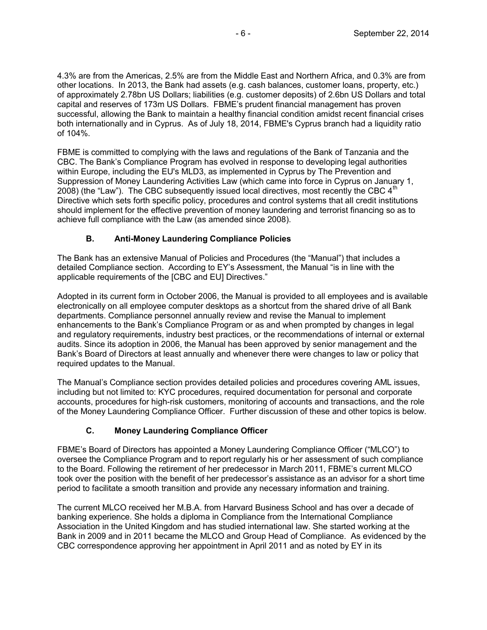4.3% are from the Americas, 2.5% are from the Middle East and Northern Africa, and 0.3% are from other locations. In 2013, the Bank had assets (e.g. cash balances, customer loans, property, etc.) of approximately 2.78bn US Dollars; liabilities (e.g. customer deposits) of 2.6bn US Dollars and total capital and reserves of 173m US Dollars. FBME's prudent financial management has proven successful, allowing the Bank to maintain a healthy financial condition amidst recent financial crises both internationally and in Cyprus. As of July 18, 2014, FBME's Cyprus branch had a liquidity ratio of 104%.

FBME is committed to complying with the laws and regulations of the Bank of Tanzania and the CBC. The Bank's Compliance Program has evolved in response to developing legal authorities within Europe, including the EU's MLD3, as implemented in Cyprus by The Prevention and Suppression of Money Laundering Activities Law (which came into force in Cyprus on January 1, 2008) (the "Law"). The CBC subsequently issued local directives, most recently the CBC  $4^{\text{th}}$ Directive which sets forth specific policy, procedures and control systems that all credit institutions should implement for the effective prevention of money laundering and terrorist financing so as to achieve full compliance with the Law (as amended since 2008).

## **B. Anti-Money Laundering Compliance Policies**

The Bank has an extensive Manual of Policies and Procedures (the "Manual") that includes a detailed Compliance section. According to EY's Assessment, the Manual "is in line with the applicable requirements of the [CBC and EU] Directives."

Adopted in its current form in October 2006, the Manual is provided to all employees and is available electronically on all employee computer desktops as a shortcut from the shared drive of all Bank departments. Compliance personnel annually review and revise the Manual to implement enhancements to the Bank's Compliance Program or as and when prompted by changes in legal and regulatory requirements, industry best practices, or the recommendations of internal or external audits. Since its adoption in 2006, the Manual has been approved by senior management and the Bank's Board of Directors at least annually and whenever there were changes to law or policy that required updates to the Manual.

The Manual's Compliance section provides detailed policies and procedures covering AML issues, including but not limited to: KYC procedures, required documentation for personal and corporate accounts, procedures for high-risk customers, monitoring of accounts and transactions, and the role of the Money Laundering Compliance Officer. Further discussion of these and other topics is below.

# **C. Money Laundering Compliance Officer**

FBME's Board of Directors has appointed a Money Laundering Compliance Officer ("MLCO") to oversee the Compliance Program and to report regularly his or her assessment of such compliance to the Board. Following the retirement of her predecessor in March 2011, FBME's current MLCO took over the position with the benefit of her predecessor's assistance as an advisor for a short time period to facilitate a smooth transition and provide any necessary information and training.

The current MLCO received her M.B.A. from Harvard Business School and has over a decade of banking experience. She holds a diploma in Compliance from the International Compliance Association in the United Kingdom and has studied international law. She started working at the Bank in 2009 and in 2011 became the MLCO and Group Head of Compliance. As evidenced by the CBC correspondence approving her appointment in April 2011 and as noted by EY in its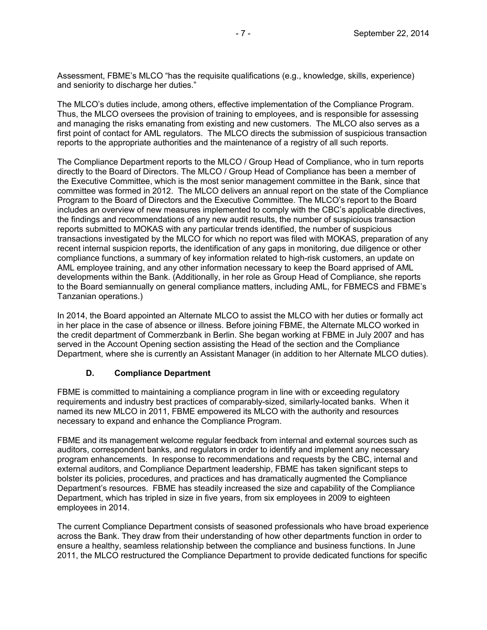Assessment, FBME's MLCO "has the requisite qualifications (e.g., knowledge, skills, experience) and seniority to discharge her duties."

The MLCO's duties include, among others, effective implementation of the Compliance Program. Thus, the MLCO oversees the provision of training to employees, and is responsible for assessing and managing the risks emanating from existing and new customers. The MLCO also serves as a first point of contact for AML regulators. The MLCO directs the submission of suspicious transaction reports to the appropriate authorities and the maintenance of a registry of all such reports.

The Compliance Department reports to the MLCO / Group Head of Compliance, who in turn reports directly to the Board of Directors. The MLCO / Group Head of Compliance has been a member of the Executive Committee, which is the most senior management committee in the Bank, since that committee was formed in 2012. The MLCO delivers an annual report on the state of the Compliance Program to the Board of Directors and the Executive Committee. The MLCO's report to the Board includes an overview of new measures implemented to comply with the CBC's applicable directives, the findings and recommendations of any new audit results, the number of suspicious transaction reports submitted to MOKAS with any particular trends identified, the number of suspicious transactions investigated by the MLCO for which no report was filed with MOKAS, preparation of any recent internal suspicion reports, the identification of any gaps in monitoring, due diligence or other compliance functions, a summary of key information related to high-risk customers, an update on AML employee training, and any other information necessary to keep the Board apprised of AML developments within the Bank. (Additionally, in her role as Group Head of Compliance, she reports to the Board semiannually on general compliance matters, including AML, for FBMECS and FBME's Tanzanian operations.)

In 2014, the Board appointed an Alternate MLCO to assist the MLCO with her duties or formally act in her place in the case of absence or illness. Before joining FBME, the Alternate MLCO worked in the credit department of Commerzbank in Berlin. She began working at FBME in July 2007 and has served in the Account Opening section assisting the Head of the section and the Compliance Department, where she is currently an Assistant Manager (in addition to her Alternate MLCO duties).

#### **D. Compliance Department**

FBME is committed to maintaining a compliance program in line with or exceeding regulatory requirements and industry best practices of comparably-sized, similarly-located banks. When it named its new MLCO in 2011, FBME empowered its MLCO with the authority and resources necessary to expand and enhance the Compliance Program.

FBME and its management welcome regular feedback from internal and external sources such as auditors, correspondent banks, and regulators in order to identify and implement any necessary program enhancements. In response to recommendations and requests by the CBC, internal and external auditors, and Compliance Department leadership, FBME has taken significant steps to bolster its policies, procedures, and practices and has dramatically augmented the Compliance Department's resources. FBME has steadily increased the size and capability of the Compliance Department, which has tripled in size in five years, from six employees in 2009 to eighteen employees in 2014.

The current Compliance Department consists of seasoned professionals who have broad experience across the Bank. They draw from their understanding of how other departments function in order to ensure a healthy, seamless relationship between the compliance and business functions. In June 2011, the MLCO restructured the Compliance Department to provide dedicated functions for specific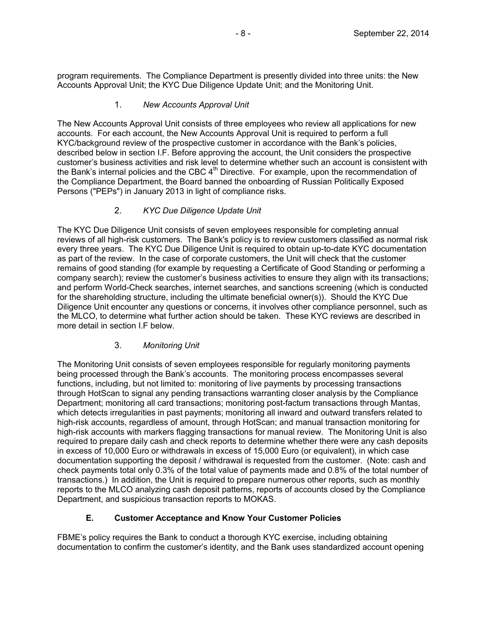program requirements. The Compliance Department is presently divided into three units: the New Accounts Approval Unit; the KYC Due Diligence Update Unit; and the Monitoring Unit.

### 1. *New Accounts Approval Unit*

The New Accounts Approval Unit consists of three employees who review all applications for new accounts. For each account, the New Accounts Approval Unit is required to perform a full KYC/background review of the prospective customer in accordance with the Bank's policies, described below in section I.F. Before approving the account, the Unit considers the prospective customer's business activities and risk level to determine whether such an account is consistent with the Bank's internal policies and the CBC  $4<sup>th</sup>$  Directive. For example, upon the recommendation of the Compliance Department, the Board banned the onboarding of Russian Politically Exposed Persons ("PEPs") in January 2013 in light of compliance risks.

## 2. *KYC Due Diligence Update Unit*

The KYC Due Diligence Unit consists of seven employees responsible for completing annual reviews of all high-risk customers. The Bank's policy is to review customers classified as normal risk every three years. The KYC Due Diligence Unit is required to obtain up-to-date KYC documentation as part of the review. In the case of corporate customers, the Unit will check that the customer remains of good standing (for example by requesting a Certificate of Good Standing or performing a company search); review the customer's business activities to ensure they align with its transactions; and perform World-Check searches, internet searches, and sanctions screening (which is conducted for the shareholding structure, including the ultimate beneficial owner(s)). Should the KYC Due Diligence Unit encounter any questions or concerns, it involves other compliance personnel, such as the MLCO, to determine what further action should be taken. These KYC reviews are described in more detail in section I.F below.

# 3. *Monitoring Unit*

The Monitoring Unit consists of seven employees responsible for regularly monitoring payments being processed through the Bank's accounts. The monitoring process encompasses several functions, including, but not limited to: monitoring of live payments by processing transactions through HotScan to signal any pending transactions warranting closer analysis by the Compliance Department; monitoring all card transactions; monitoring post-factum transactions through Mantas, which detects irregularities in past payments; monitoring all inward and outward transfers related to high-risk accounts, regardless of amount, through HotScan; and manual transaction monitoring for high-risk accounts with markers flagging transactions for manual review. The Monitoring Unit is also required to prepare daily cash and check reports to determine whether there were any cash deposits in excess of 10,000 Euro or withdrawals in excess of 15,000 Euro (or equivalent), in which case documentation supporting the deposit / withdrawal is requested from the customer. (Note: cash and check payments total only 0.3% of the total value of payments made and 0.8% of the total number of transactions.) In addition, the Unit is required to prepare numerous other reports, such as monthly reports to the MLCO analyzing cash deposit patterns, reports of accounts closed by the Compliance Department, and suspicious transaction reports to MOKAS.

# **E. Customer Acceptance and Know Your Customer Policies**

FBME's policy requires the Bank to conduct a thorough KYC exercise, including obtaining documentation to confirm the customer's identity, and the Bank uses standardized account opening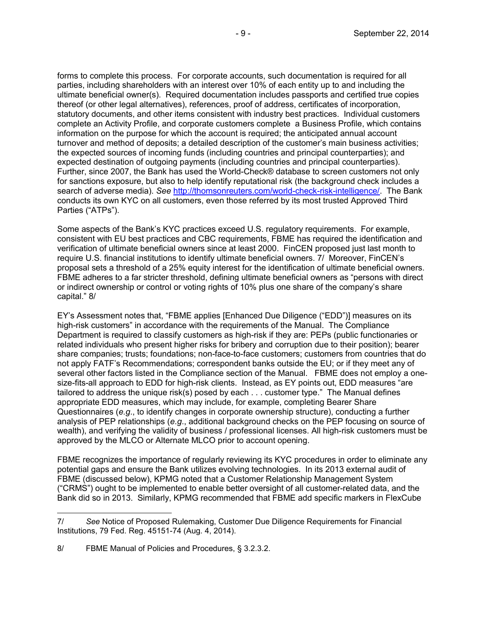forms to complete this process. For corporate accounts, such documentation is required for all parties, including shareholders with an interest over 10% of each entity up to and including the ultimate beneficial owner(s). Required documentation includes passports and certified true copies thereof (or other legal alternatives), references, proof of address, certificates of incorporation, statutory documents, and other items consistent with industry best practices. Individual customers complete an Activity Profile, and corporate customers complete a Business Profile, which contains information on the purpose for which the account is required; the anticipated annual account turnover and method of deposits; a detailed description of the customer's main business activities; the expected sources of incoming funds (including countries and principal counterparties); and expected destination of outgoing payments (including countries and principal counterparties). Further, since 2007, the Bank has used the World-Check® database to screen customers not only for sanctions exposure, but also to help identify reputational risk (the background check includes a search of adverse media). *See* http://thomsonreuters.com/world-check-risk-intelligence/. The Bank conducts its own KYC on all customers, even those referred by its most trusted Approved Third Parties ("ATPs").

Some aspects of the Bank's KYC practices exceed U.S. regulatory requirements. For example, consistent with EU best practices and CBC requirements, FBME has required the identification and verification of ultimate beneficial owners since at least 2000. FinCEN proposed just last month to require U.S. financial institutions to identify ultimate beneficial owners. 7/ Moreover, FinCEN's proposal sets a threshold of a 25% equity interest for the identification of ultimate beneficial owners. FBME adheres to a far stricter threshold, defining ultimate beneficial owners as "persons with direct or indirect ownership or control or voting rights of 10% plus one share of the company's share capital." 8/

EY's Assessment notes that, "FBME applies [Enhanced Due Diligence ("EDD")] measures on its high-risk customers" in accordance with the requirements of the Manual. The Compliance Department is required to classify customers as high-risk if they are: PEPs (public functionaries or related individuals who present higher risks for bribery and corruption due to their position); bearer share companies; trusts; foundations; non-face-to-face customers; customers from countries that do not apply FATF's Recommendations; correspondent banks outside the EU; or if they meet any of several other factors listed in the Compliance section of the Manual. FBME does not employ a onesize-fits-all approach to EDD for high-risk clients. Instead, as EY points out, EDD measures "are tailored to address the unique risk(s) posed by each . . . customer type." The Manual defines appropriate EDD measures, which may include, for example, completing Bearer Share Questionnaires (*e.g*., to identify changes in corporate ownership structure), conducting a further analysis of PEP relationships (*e.g*., additional background checks on the PEP focusing on source of wealth), and verifying the validity of business / professional licenses. All high-risk customers must be approved by the MLCO or Alternate MLCO prior to account opening.

FBME recognizes the importance of regularly reviewing its KYC procedures in order to eliminate any potential gaps and ensure the Bank utilizes evolving technologies. In its 2013 external audit of FBME (discussed below), KPMG noted that a Customer Relationship Management System ("CRMS") ought to be implemented to enable better oversight of all customer-related data, and the Bank did so in 2013. Similarly, KPMG recommended that FBME add specific markers in FlexCube

<sup>7/</sup> *See* Notice of Proposed Rulemaking, Customer Due Diligence Requirements for Financial Institutions, 79 Fed. Reg. 45151-74 (Aug. 4, 2014).

<sup>8/</sup> FBME Manual of Policies and Procedures, § 3.2.3.2.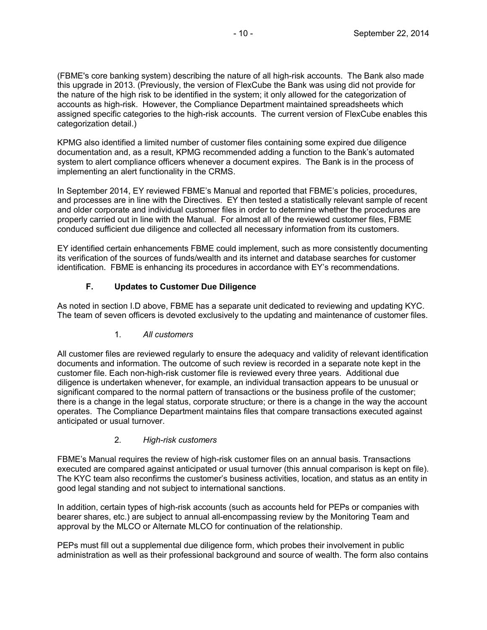(FBME's core banking system) describing the nature of all high-risk accounts. The Bank also made this upgrade in 2013. (Previously, the version of FlexCube the Bank was using did not provide for the nature of the high risk to be identified in the system; it only allowed for the categorization of accounts as high-risk. However, the Compliance Department maintained spreadsheets which assigned specific categories to the high-risk accounts. The current version of FlexCube enables this categorization detail.)

KPMG also identified a limited number of customer files containing some expired due diligence documentation and, as a result, KPMG recommended adding a function to the Bank's automated system to alert compliance officers whenever a document expires. The Bank is in the process of implementing an alert functionality in the CRMS.

In September 2014, EY reviewed FBME's Manual and reported that FBME's policies, procedures, and processes are in line with the Directives. EY then tested a statistically relevant sample of recent and older corporate and individual customer files in order to determine whether the procedures are properly carried out in line with the Manual. For almost all of the reviewed customer files, FBME conduced sufficient due diligence and collected all necessary information from its customers.

EY identified certain enhancements FBME could implement, such as more consistently documenting its verification of the sources of funds/wealth and its internet and database searches for customer identification. FBME is enhancing its procedures in accordance with EY's recommendations.

# **F. Updates to Customer Due Diligence**

As noted in section I.D above, FBME has a separate unit dedicated to reviewing and updating KYC. The team of seven officers is devoted exclusively to the updating and maintenance of customer files.

1*. All customers*

All customer files are reviewed regularly to ensure the adequacy and validity of relevant identification documents and information. The outcome of such review is recorded in a separate note kept in the customer file. Each non-high-risk customer file is reviewed every three years. Additional due diligence is undertaken whenever, for example, an individual transaction appears to be unusual or significant compared to the normal pattern of transactions or the business profile of the customer; there is a change in the legal status, corporate structure; or there is a change in the way the account operates. The Compliance Department maintains files that compare transactions executed against anticipated or usual turnover.

# 2*. High-risk customers*

FBME's Manual requires the review of high-risk customer files on an annual basis. Transactions executed are compared against anticipated or usual turnover (this annual comparison is kept on file). The KYC team also reconfirms the customer's business activities, location, and status as an entity in good legal standing and not subject to international sanctions.

In addition, certain types of high-risk accounts (such as accounts held for PEPs or companies with bearer shares, etc.) are subject to annual all-encompassing review by the Monitoring Team and approval by the MLCO or Alternate MLCO for continuation of the relationship.

PEPs must fill out a supplemental due diligence form, which probes their involvement in public administration as well as their professional background and source of wealth. The form also contains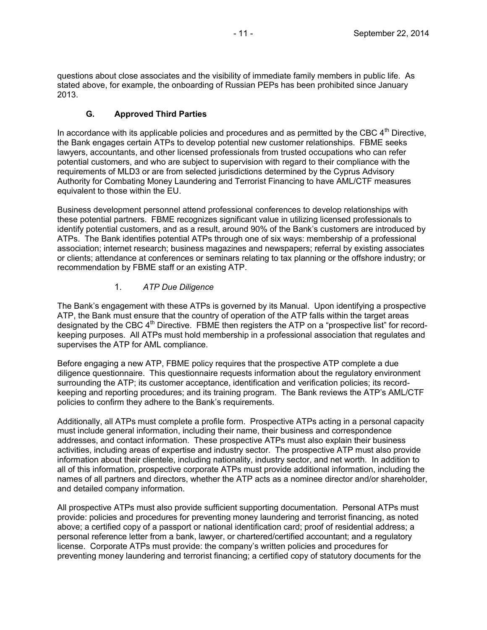questions about close associates and the visibility of immediate family members in public life. As stated above, for example, the onboarding of Russian PEPs has been prohibited since January 2013.

### **G. Approved Third Parties**

In accordance with its applicable policies and procedures and as permitted by the CBC  $4<sup>th</sup>$  Directive, the Bank engages certain ATPs to develop potential new customer relationships. FBME seeks lawyers, accountants, and other licensed professionals from trusted occupations who can refer potential customers, and who are subject to supervision with regard to their compliance with the requirements of MLD3 or are from selected jurisdictions determined by the Cyprus Advisory Authority for Combating Money Laundering and Terrorist Financing to have AML/CTF measures equivalent to those within the EU.

Business development personnel attend professional conferences to develop relationships with these potential partners. FBME recognizes significant value in utilizing licensed professionals to identify potential customers, and as a result, around 90% of the Bank's customers are introduced by ATPs. The Bank identifies potential ATPs through one of six ways: membership of a professional association; internet research; business magazines and newspapers; referral by existing associates or clients; attendance at conferences or seminars relating to tax planning or the offshore industry; or recommendation by FBME staff or an existing ATP.

### 1. *ATP Due Diligence*

The Bank's engagement with these ATPs is governed by its Manual. Upon identifying a prospective ATP, the Bank must ensure that the country of operation of the ATP falls within the target areas designated by the CBC  $4<sup>th</sup>$  Directive. FBME then registers the ATP on a "prospective list" for recordkeeping purposes. All ATPs must hold membership in a professional association that regulates and supervises the ATP for AML compliance.

Before engaging a new ATP, FBME policy requires that the prospective ATP complete a due diligence questionnaire. This questionnaire requests information about the regulatory environment surrounding the ATP; its customer acceptance, identification and verification policies; its recordkeeping and reporting procedures; and its training program. The Bank reviews the ATP's AML/CTF policies to confirm they adhere to the Bank's requirements.

Additionally, all ATPs must complete a profile form. Prospective ATPs acting in a personal capacity must include general information, including their name, their business and correspondence addresses, and contact information. These prospective ATPs must also explain their business activities, including areas of expertise and industry sector. The prospective ATP must also provide information about their clientele, including nationality, industry sector, and net worth. In addition to all of this information, prospective corporate ATPs must provide additional information, including the names of all partners and directors, whether the ATP acts as a nominee director and/or shareholder, and detailed company information.

All prospective ATPs must also provide sufficient supporting documentation. Personal ATPs must provide: policies and procedures for preventing money laundering and terrorist financing, as noted above; a certified copy of a passport or national identification card; proof of residential address; a personal reference letter from a bank, lawyer, or chartered/certified accountant; and a regulatory license. Corporate ATPs must provide: the company's written policies and procedures for preventing money laundering and terrorist financing; a certified copy of statutory documents for the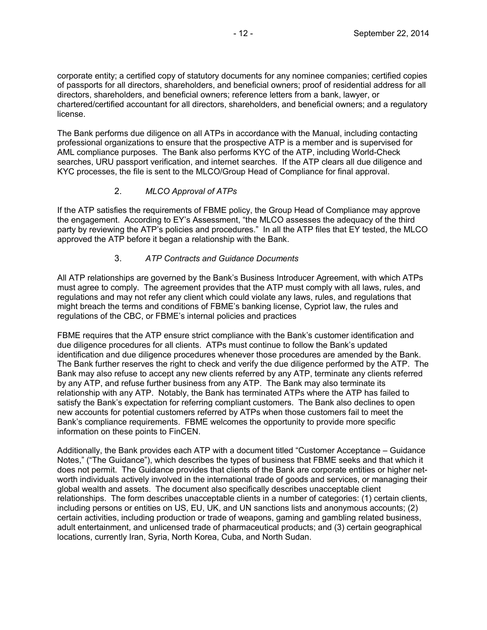corporate entity; a certified copy of statutory documents for any nominee companies; certified copies of passports for all directors, shareholders, and beneficial owners; proof of residential address for all directors, shareholders, and beneficial owners; reference letters from a bank, lawyer, or chartered/certified accountant for all directors, shareholders, and beneficial owners; and a regulatory license.

The Bank performs due diligence on all ATPs in accordance with the Manual, including contacting professional organizations to ensure that the prospective ATP is a member and is supervised for AML compliance purposes. The Bank also performs KYC of the ATP, including World-Check searches, URU passport verification, and internet searches. If the ATP clears all due diligence and KYC processes, the file is sent to the MLCO/Group Head of Compliance for final approval.

## 2. *MLCO Approval of ATPs*

If the ATP satisfies the requirements of FBME policy, the Group Head of Compliance may approve the engagement. According to EY's Assessment, "the MLCO assesses the adequacy of the third party by reviewing the ATP's policies and procedures." In all the ATP files that EY tested, the MLCO approved the ATP before it began a relationship with the Bank.

## 3. *ATP Contracts and Guidance Documents*

All ATP relationships are governed by the Bank's Business Introducer Agreement, with which ATPs must agree to comply. The agreement provides that the ATP must comply with all laws, rules, and regulations and may not refer any client which could violate any laws, rules, and regulations that might breach the terms and conditions of FBME's banking license, Cypriot law, the rules and regulations of the CBC, or FBME's internal policies and practices

FBME requires that the ATP ensure strict compliance with the Bank's customer identification and due diligence procedures for all clients. ATPs must continue to follow the Bank's updated identification and due diligence procedures whenever those procedures are amended by the Bank. The Bank further reserves the right to check and verify the due diligence performed by the ATP. The Bank may also refuse to accept any new clients referred by any ATP, terminate any clients referred by any ATP, and refuse further business from any ATP. The Bank may also terminate its relationship with any ATP. Notably, the Bank has terminated ATPs where the ATP has failed to satisfy the Bank's expectation for referring compliant customers. The Bank also declines to open new accounts for potential customers referred by ATPs when those customers fail to meet the Bank's compliance requirements. FBME welcomes the opportunity to provide more specific information on these points to FinCEN.

Additionally, the Bank provides each ATP with a document titled "Customer Acceptance – Guidance Notes," ("The Guidance"), which describes the types of business that FBME seeks and that which it does not permit. The Guidance provides that clients of the Bank are corporate entities or higher networth individuals actively involved in the international trade of goods and services, or managing their global wealth and assets. The document also specifically describes unacceptable client relationships. The form describes unacceptable clients in a number of categories: (1) certain clients, including persons or entities on US, EU, UK, and UN sanctions lists and anonymous accounts; (2) certain activities, including production or trade of weapons, gaming and gambling related business, adult entertainment, and unlicensed trade of pharmaceutical products; and (3) certain geographical locations, currently Iran, Syria, North Korea, Cuba, and North Sudan.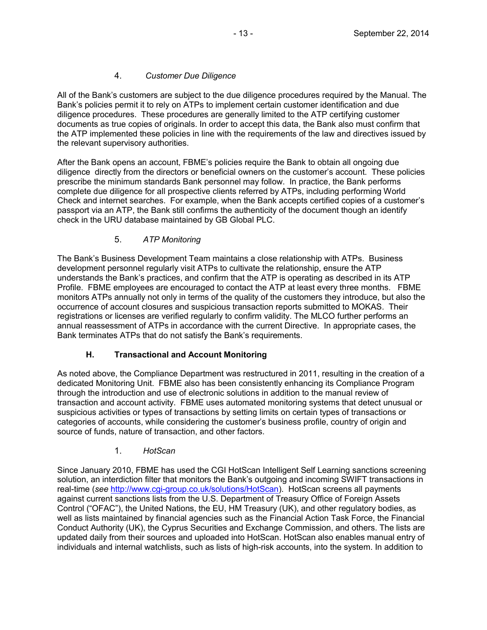## 4. *Customer Due Diligence*

All of the Bank's customers are subject to the due diligence procedures required by the Manual. The Bank's policies permit it to rely on ATPs to implement certain customer identification and due diligence procedures. These procedures are generally limited to the ATP certifying customer documents as true copies of originals. In order to accept this data, the Bank also must confirm that the ATP implemented these policies in line with the requirements of the law and directives issued by the relevant supervisory authorities.

After the Bank opens an account, FBME's policies require the Bank to obtain all ongoing due diligence directly from the directors or beneficial owners on the customer's account. These policies prescribe the minimum standards Bank personnel may follow. In practice, the Bank performs complete due diligence for all prospective clients referred by ATPs, including performing World Check and internet searches. For example, when the Bank accepts certified copies of a customer's passport via an ATP, the Bank still confirms the authenticity of the document though an identify check in the URU database maintained by GB Global PLC.

## 5. *ATP Monitoring*

The Bank's Business Development Team maintains a close relationship with ATPs. Business development personnel regularly visit ATPs to cultivate the relationship, ensure the ATP understands the Bank's practices, and confirm that the ATP is operating as described in its ATP Profile. FBME employees are encouraged to contact the ATP at least every three months. FBME monitors ATPs annually not only in terms of the quality of the customers they introduce, but also the occurrence of account closures and suspicious transaction reports submitted to MOKAS. Their registrations or licenses are verified regularly to confirm validity. The MLCO further performs an annual reassessment of ATPs in accordance with the current Directive. In appropriate cases, the Bank terminates ATPs that do not satisfy the Bank's requirements.

### **H. Transactional and Account Monitoring**

As noted above, the Compliance Department was restructured in 2011, resulting in the creation of a dedicated Monitoring Unit. FBME also has been consistently enhancing its Compliance Program through the introduction and use of electronic solutions in addition to the manual review of transaction and account activity. FBME uses automated monitoring systems that detect unusual or suspicious activities or types of transactions by setting limits on certain types of transactions or categories of accounts, while considering the customer's business profile, country of origin and source of funds, nature of transaction, and other factors.

### 1. *HotScan*

Since January 2010, FBME has used the CGI HotScan Intelligent Self Learning sanctions screening solution, an interdiction filter that monitors the Bank's outgoing and incoming SWIFT transactions in real-time (*see* http://www.cgi-group.co.uk/solutions/HotScan). HotScan screens all payments against current sanctions lists from the U.S. Department of Treasury Office of Foreign Assets Control ("OFAC"), the United Nations, the EU, HM Treasury (UK), and other regulatory bodies, as well as lists maintained by financial agencies such as the Financial Action Task Force, the Financial Conduct Authority (UK), the Cyprus Securities and Exchange Commission, and others. The lists are updated daily from their sources and uploaded into HotScan. HotScan also enables manual entry of individuals and internal watchlists, such as lists of high-risk accounts, into the system. In addition to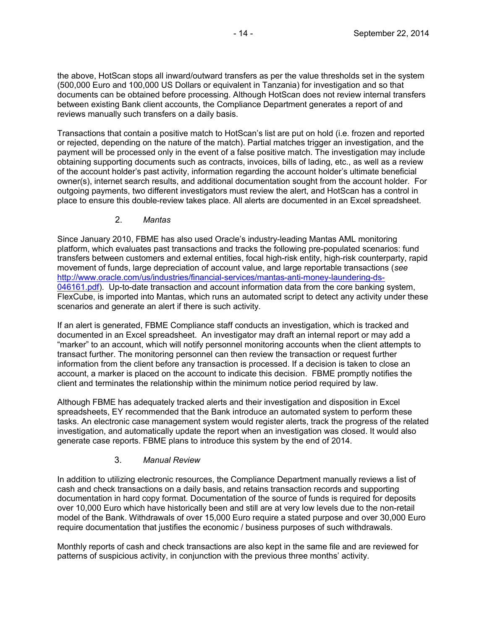the above, HotScan stops all inward/outward transfers as per the value thresholds set in the system (500,000 Euro and 100,000 US Dollars or equivalent in Tanzania) for investigation and so that documents can be obtained before processing. Although HotScan does not review internal transfers between existing Bank client accounts, the Compliance Department generates a report of and reviews manually such transfers on a daily basis.

Transactions that contain a positive match to HotScan's list are put on hold (i.e. frozen and reported or rejected, depending on the nature of the match). Partial matches trigger an investigation, and the payment will be processed only in the event of a false positive match. The investigation may include obtaining supporting documents such as contracts, invoices, bills of lading, etc., as well as a review of the account holder's past activity, information regarding the account holder's ultimate beneficial owner(s), internet search results, and additional documentation sought from the account holder. For outgoing payments, two different investigators must review the alert, and HotScan has a control in place to ensure this double-review takes place. All alerts are documented in an Excel spreadsheet.

#### 2. *Mantas*

Since January 2010, FBME has also used Oracle's industry-leading Mantas AML monitoring platform, which evaluates past transactions and tracks the following pre-populated scenarios: fund transfers between customers and external entities, focal high-risk entity, high-risk counterparty, rapid movement of funds, large depreciation of account value, and large reportable transactions (*see* http://www.oracle.com/us/industries/financial-services/mantas-anti-money-laundering-ds-046161.pdf). Up-to-date transaction and account information data from the core banking system, FlexCube, is imported into Mantas, which runs an automated script to detect any activity under these scenarios and generate an alert if there is such activity.

If an alert is generated, FBME Compliance staff conducts an investigation, which is tracked and documented in an Excel spreadsheet. An investigator may draft an internal report or may add a "marker" to an account, which will notify personnel monitoring accounts when the client attempts to transact further. The monitoring personnel can then review the transaction or request further information from the client before any transaction is processed. If a decision is taken to close an account, a marker is placed on the account to indicate this decision. FBME promptly notifies the client and terminates the relationship within the minimum notice period required by law.

Although FBME has adequately tracked alerts and their investigation and disposition in Excel spreadsheets, EY recommended that the Bank introduce an automated system to perform these tasks. An electronic case management system would register alerts, track the progress of the related investigation, and automatically update the report when an investigation was closed. It would also generate case reports. FBME plans to introduce this system by the end of 2014.

### 3. *Manual Review*

In addition to utilizing electronic resources, the Compliance Department manually reviews a list of cash and check transactions on a daily basis, and retains transaction records and supporting documentation in hard copy format. Documentation of the source of funds is required for deposits over 10,000 Euro which have historically been and still are at very low levels due to the non-retail model of the Bank. Withdrawals of over 15,000 Euro require a stated purpose and over 30,000 Euro require documentation that justifies the economic / business purposes of such withdrawals.

Monthly reports of cash and check transactions are also kept in the same file and are reviewed for patterns of suspicious activity, in conjunction with the previous three months' activity.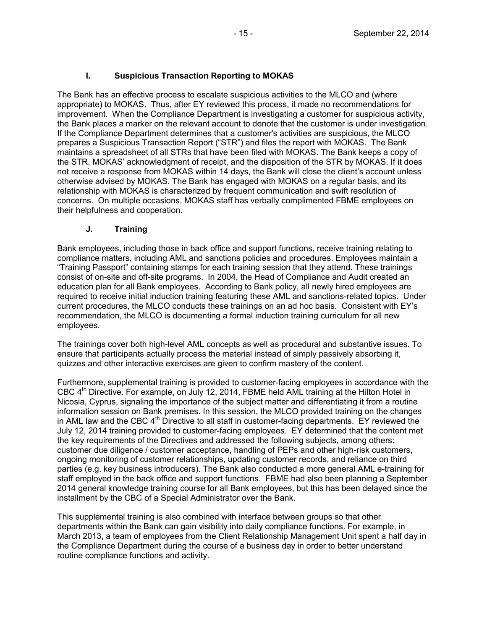### **I. Suspicious Transaction Reporting to MOKAS**

The Bank has an effective process to escalate suspicious activities to the MLCO and (where appropriate) to MOKAS. Thus, after EY reviewed this process, it made no recommendations for improvement. When the Compliance Department is investigating a customer for suspicious activity, the Bank places a marker on the relevant account to denote that the customer is under investigation. If the Compliance Department determines that a customer's activities are suspicious, the MLCO prepares a Suspicious Transaction Report ("STR") and files the report with MOKAS. The Bank maintains a spreadsheet of all STRs that have been filed with MOKAS. The Bank keeps a copy of the STR, MOKAS' acknowledgment of receipt, and the disposition of the STR by MOKAS. If it does not receive a response from MOKAS within 14 days, the Bank will close the client's account unless otherwise advised by MOKAS. The Bank has engaged with MOKAS on a regular basis, and its relationship with MOKAS is characterized by frequent communication and swift resolution of concerns. On multiple occasions, MOKAS staff has verbally complimented FBME employees on their helpfulness and cooperation.

#### **J. Training**

Bank employees, including those in back office and support functions, receive training relating to compliance matters, including AML and sanctions policies and procedures. Employees maintain a "Training Passport" containing stamps for each training session that they attend. These trainings consist of on-site and off-site programs. In 2004, the Head of Compliance and Audit created an education plan for all Bank employees. According to Bank policy, all newly hired employees are required to receive initial induction training featuring these AML and sanctions-related topics. Under current procedures, the MLCO conducts these trainings on an ad hoc basis. Consistent with EY's recommendation, the MLCO is documenting a formal induction training curriculum for all new employees.

The trainings cover both high-level AML concepts as well as procedural and substantive issues. To ensure that participants actually process the material instead of simply passively absorbing it, quizzes and other interactive exercises are given to confirm mastery of the content.

Furthermore, supplemental training is provided to customer-facing employees in accordance with the CBC 4<sup>th</sup> Directive. For example, on July 12, 2014, FBME held AML training at the Hilton Hotel in Nicosia, Cyprus, signaling the importance of the subject matter and differentiating it from a routine information session on Bank premises. In this session, the MLCO provided training on the changes in AML law and the CBC  $4<sup>th</sup>$  Directive to all staff in customer-facing departments. EY reviewed the July 12, 2014 training provided to customer-facing employees. EY determined that the content met the key requirements of the Directives and addressed the following subjects, among others: customer due diligence / customer acceptance, handling of PEPs and other high-risk customers, ongoing monitoring of customer relationships, updating customer records, and reliance on third parties (e.g. key business introducers). The Bank also conducted a more general AML e-training for staff employed in the back office and support functions. FBME had also been planning a September 2014 general knowledge training course for all Bank employees, but this has been delayed since the installment by the CBC of a Special Administrator over the Bank.

This supplemental training is also combined with interface between groups so that other departments within the Bank can gain visibility into daily compliance functions. For example, in March 2013, a team of employees from the Client Relationship Management Unit spent a half day in the Compliance Department during the course of a business day in order to better understand routine compliance functions and activity.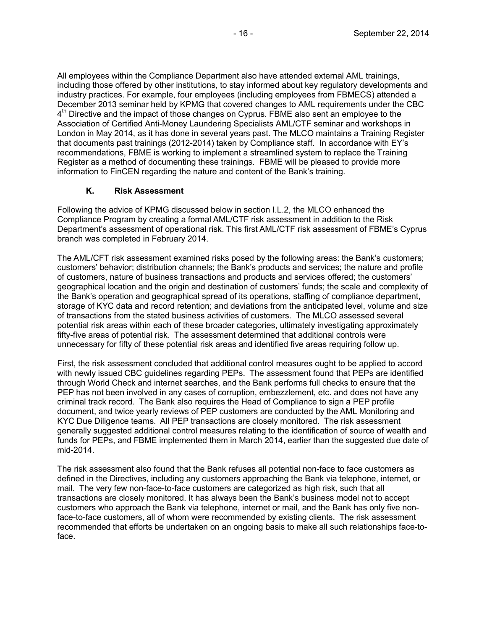All employees within the Compliance Department also have attended external AML trainings, including those offered by other institutions, to stay informed about key regulatory developments and industry practices. For example, four employees (including employees from FBMECS) attended a December 2013 seminar held by KPMG that covered changes to AML requirements under the CBC 4<sup>th</sup> Directive and the impact of those changes on Cyprus. FBME also sent an employee to the Association of Certified Anti-Money Laundering Specialists AML/CTF seminar and workshops in London in May 2014, as it has done in several years past. The MLCO maintains a Training Register that documents past trainings (2012-2014) taken by Compliance staff. In accordance with EY's recommendations, FBME is working to implement a streamlined system to replace the Training Register as a method of documenting these trainings. FBME will be pleased to provide more information to FinCEN regarding the nature and content of the Bank's training.

### **K. Risk Assessment**

Following the advice of KPMG discussed below in section I.L.2, the MLCO enhanced the Compliance Program by creating a formal AML/CTF risk assessment in addition to the Risk Department's assessment of operational risk. This first AML/CTF risk assessment of FBME's Cyprus branch was completed in February 2014.

The AML/CFT risk assessment examined risks posed by the following areas: the Bank's customers; customers' behavior; distribution channels; the Bank's products and services; the nature and profile of customers, nature of business transactions and products and services offered; the customers' geographical location and the origin and destination of customers' funds; the scale and complexity of the Bank's operation and geographical spread of its operations, staffing of compliance department, storage of KYC data and record retention; and deviations from the anticipated level, volume and size of transactions from the stated business activities of customers. The MLCO assessed several potential risk areas within each of these broader categories, ultimately investigating approximately fifty-five areas of potential risk. The assessment determined that additional controls were unnecessary for fifty of these potential risk areas and identified five areas requiring follow up.

First, the risk assessment concluded that additional control measures ought to be applied to accord with newly issued CBC guidelines regarding PEPs. The assessment found that PEPs are identified through World Check and internet searches, and the Bank performs full checks to ensure that the PEP has not been involved in any cases of corruption, embezzlement, etc. and does not have any criminal track record. The Bank also requires the Head of Compliance to sign a PEP profile document, and twice yearly reviews of PEP customers are conducted by the AML Monitoring and KYC Due Diligence teams. All PEP transactions are closely monitored. The risk assessment generally suggested additional control measures relating to the identification of source of wealth and funds for PEPs, and FBME implemented them in March 2014, earlier than the suggested due date of mid-2014.

The risk assessment also found that the Bank refuses all potential non-face to face customers as defined in the Directives, including any customers approaching the Bank via telephone, internet, or mail. The very few non-face-to-face customers are categorized as high risk, such that all transactions are closely monitored. It has always been the Bank's business model not to accept customers who approach the Bank via telephone, internet or mail, and the Bank has only five nonface-to-face customers, all of whom were recommended by existing clients. The risk assessment recommended that efforts be undertaken on an ongoing basis to make all such relationships face-toface.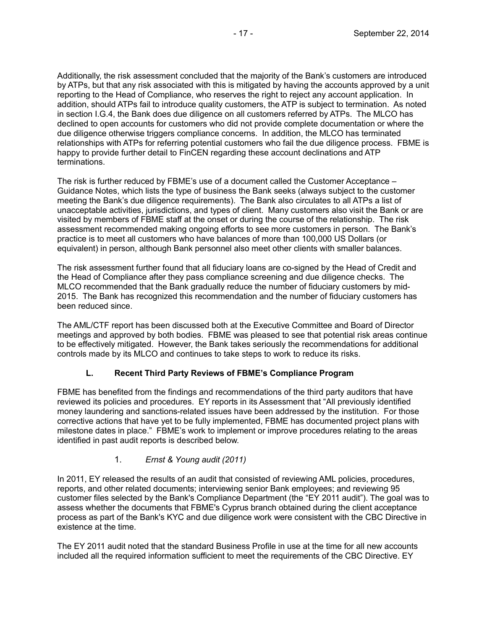Additionally, the risk assessment concluded that the majority of the Bank's customers are introduced by ATPs, but that any risk associated with this is mitigated by having the accounts approved by a unit reporting to the Head of Compliance, who reserves the right to reject any account application. In addition, should ATPs fail to introduce quality customers, the ATP is subject to termination. As noted in section I.G.4, the Bank does due diligence on all customers referred by ATPs. The MLCO has declined to open accounts for customers who did not provide complete documentation or where the due diligence otherwise triggers compliance concerns. In addition, the MLCO has terminated relationships with ATPs for referring potential customers who fail the due diligence process. FBME is happy to provide further detail to FinCEN regarding these account declinations and ATP terminations.

The risk is further reduced by FBME's use of a document called the Customer Acceptance – Guidance Notes, which lists the type of business the Bank seeks (always subject to the customer meeting the Bank's due diligence requirements). The Bank also circulates to all ATPs a list of unacceptable activities, jurisdictions, and types of client. Many customers also visit the Bank or are visited by members of FBME staff at the onset or during the course of the relationship. The risk assessment recommended making ongoing efforts to see more customers in person. The Bank's practice is to meet all customers who have balances of more than 100,000 US Dollars (or equivalent) in person, although Bank personnel also meet other clients with smaller balances.

The risk assessment further found that all fiduciary loans are co-signed by the Head of Credit and the Head of Compliance after they pass compliance screening and due diligence checks. The MLCO recommended that the Bank gradually reduce the number of fiduciary customers by mid-2015. The Bank has recognized this recommendation and the number of fiduciary customers has been reduced since.

The AML/CTF report has been discussed both at the Executive Committee and Board of Director meetings and approved by both bodies. FBME was pleased to see that potential risk areas continue to be effectively mitigated. However, the Bank takes seriously the recommendations for additional controls made by its MLCO and continues to take steps to work to reduce its risks.

### **L. Recent Third Party Reviews of FBME's Compliance Program**

FBME has benefited from the findings and recommendations of the third party auditors that have reviewed its policies and procedures. EY reports in its Assessment that "All previously identified money laundering and sanctions-related issues have been addressed by the institution. For those corrective actions that have yet to be fully implemented, FBME has documented project plans with milestone dates in place." FBME's work to implement or improve procedures relating to the areas identified in past audit reports is described below.

### 1. *Ernst & Young audit (2011)*

In 2011, EY released the results of an audit that consisted of reviewing AML policies, procedures, reports, and other related documents; interviewing senior Bank employees; and reviewing 95 customer files selected by the Bank's Compliance Department (the "EY 2011 audit"). The goal was to assess whether the documents that FBME's Cyprus branch obtained during the client acceptance process as part of the Bank's KYC and due diligence work were consistent with the CBC Directive in existence at the time.

The EY 2011 audit noted that the standard Business Profile in use at the time for all new accounts included all the required information sufficient to meet the requirements of the CBC Directive. EY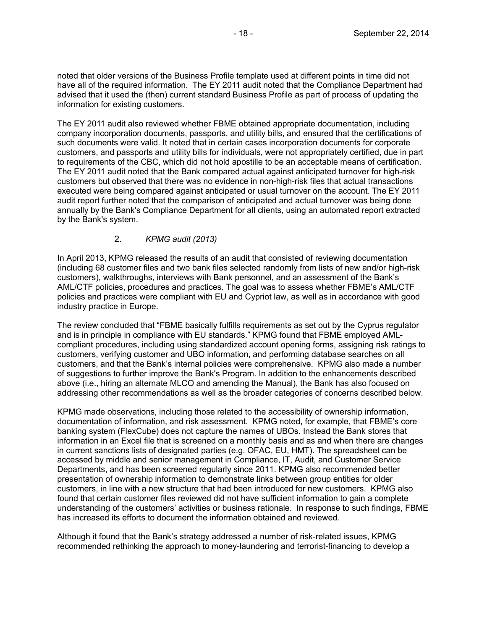noted that older versions of the Business Profile template used at different points in time did not have all of the required information. The EY 2011 audit noted that the Compliance Department had advised that it used the (then) current standard Business Profile as part of process of updating the information for existing customers.

The EY 2011 audit also reviewed whether FBME obtained appropriate documentation, including company incorporation documents, passports, and utility bills, and ensured that the certifications of such documents were valid. It noted that in certain cases incorporation documents for corporate customers, and passports and utility bills for individuals, were not appropriately certified, due in part to requirements of the CBC, which did not hold apostille to be an acceptable means of certification. The EY 2011 audit noted that the Bank compared actual against anticipated turnover for high-risk customers but observed that there was no evidence in non-high-risk files that actual transactions executed were being compared against anticipated or usual turnover on the account. The EY 2011 audit report further noted that the comparison of anticipated and actual turnover was being done annually by the Bank's Compliance Department for all clients, using an automated report extracted by the Bank's system.

### 2. *KPMG audit (2013)*

In April 2013, KPMG released the results of an audit that consisted of reviewing documentation (including 68 customer files and two bank files selected randomly from lists of new and/or high-risk customers), walkthroughs, interviews with Bank personnel, and an assessment of the Bank's AML/CTF policies, procedures and practices. The goal was to assess whether FBME's AML/CTF policies and practices were compliant with EU and Cypriot law, as well as in accordance with good industry practice in Europe.

The review concluded that "FBME basically fulfills requirements as set out by the Cyprus regulator and is in principle in compliance with EU standards." KPMG found that FBME employed AMLcompliant procedures, including using standardized account opening forms, assigning risk ratings to customers, verifying customer and UBO information, and performing database searches on all customers, and that the Bank's internal policies were comprehensive. KPMG also made a number of suggestions to further improve the Bank's Program. In addition to the enhancements described above (i.e., hiring an alternate MLCO and amending the Manual), the Bank has also focused on addressing other recommendations as well as the broader categories of concerns described below.

KPMG made observations, including those related to the accessibility of ownership information, documentation of information, and risk assessment. KPMG noted, for example, that FBME's core banking system (FlexCube) does not capture the names of UBOs. Instead the Bank stores that information in an Excel file that is screened on a monthly basis and as and when there are changes in current sanctions lists of designated parties (e.g. OFAC, EU, HMT). The spreadsheet can be accessed by middle and senior management in Compliance, IT, Audit, and Customer Service Departments, and has been screened regularly since 2011. KPMG also recommended better presentation of ownership information to demonstrate links between group entities for older customers, in line with a new structure that had been introduced for new customers. KPMG also found that certain customer files reviewed did not have sufficient information to gain a complete understanding of the customers' activities or business rationale. In response to such findings, FBME has increased its efforts to document the information obtained and reviewed.

Although it found that the Bank's strategy addressed a number of risk-related issues, KPMG recommended rethinking the approach to money-laundering and terrorist-financing to develop a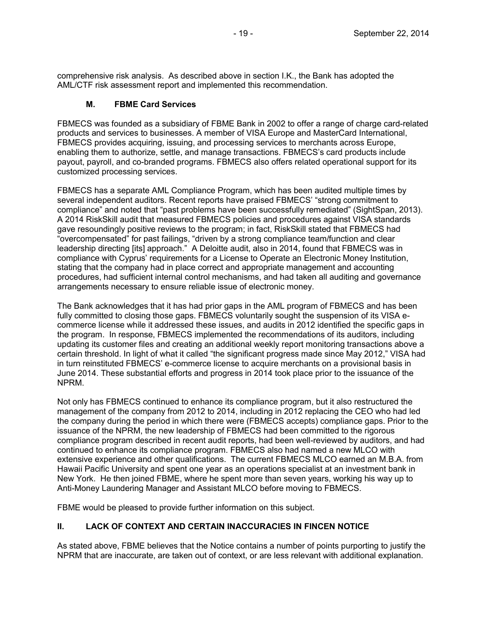comprehensive risk analysis. As described above in section I.K., the Bank has adopted the AML/CTF risk assessment report and implemented this recommendation.

## **M. FBME Card Services**

FBMECS was founded as a subsidiary of FBME Bank in 2002 to offer a range of charge card-related products and services to businesses. A member of VISA Europe and MasterCard International, FBMECS provides acquiring, issuing, and processing services to merchants across Europe, enabling them to authorize, settle, and manage transactions. FBMECS's card products include payout, payroll, and co-branded programs. FBMECS also offers related operational support for its customized processing services.

FBMECS has a separate AML Compliance Program, which has been audited multiple times by several independent auditors. Recent reports have praised FBMECS' "strong commitment to compliance" and noted that "past problems have been successfully remediated" (SightSpan, 2013). A 2014 RiskSkill audit that measured FBMECS policies and procedures against VISA standards gave resoundingly positive reviews to the program; in fact, RiskSkill stated that FBMECS had "overcompensated" for past failings, "driven by a strong compliance team/function and clear leadership directing [its] approach." A Deloitte audit, also in 2014, found that FBMECS was in compliance with Cyprus' requirements for a License to Operate an Electronic Money Institution, stating that the company had in place correct and appropriate management and accounting procedures, had sufficient internal control mechanisms, and had taken all auditing and governance arrangements necessary to ensure reliable issue of electronic money.

The Bank acknowledges that it has had prior gaps in the AML program of FBMECS and has been fully committed to closing those gaps. FBMECS voluntarily sought the suspension of its VISA ecommerce license while it addressed these issues, and audits in 2012 identified the specific gaps in the program. In response, FBMECS implemented the recommendations of its auditors, including updating its customer files and creating an additional weekly report monitoring transactions above a certain threshold. In light of what it called "the significant progress made since May 2012," VISA had in turn reinstituted FBMECS' e-commerce license to acquire merchants on a provisional basis in June 2014. These substantial efforts and progress in 2014 took place prior to the issuance of the NPRM.

Not only has FBMECS continued to enhance its compliance program, but it also restructured the management of the company from 2012 to 2014, including in 2012 replacing the CEO who had led the company during the period in which there were (FBMECS accepts) compliance gaps. Prior to the issuance of the NPRM, the new leadership of FBMECS had been committed to the rigorous compliance program described in recent audit reports, had been well-reviewed by auditors, and had continued to enhance its compliance program. FBMECS also had named a new MLCO with extensive experience and other qualifications. The current FBMECS MLCO earned an M.B.A. from Hawaii Pacific University and spent one year as an operations specialist at an investment bank in New York. He then joined FBME, where he spent more than seven years, working his way up to Anti-Money Laundering Manager and Assistant MLCO before moving to FBMECS.

FBME would be pleased to provide further information on this subject.

# **II. LACK OF CONTEXT AND CERTAIN INACCURACIES IN FINCEN NOTICE**

As stated above, FBME believes that the Notice contains a number of points purporting to justify the NPRM that are inaccurate, are taken out of context, or are less relevant with additional explanation.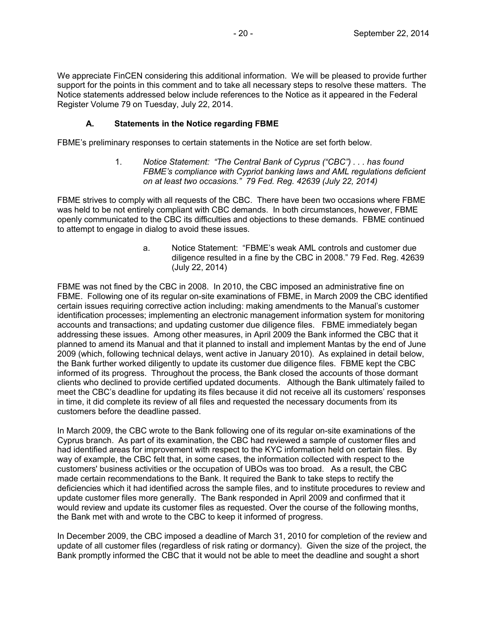We appreciate FinCEN considering this additional information. We will be pleased to provide further support for the points in this comment and to take all necessary steps to resolve these matters. The Notice statements addressed below include references to the Notice as it appeared in the Federal Register Volume 79 on Tuesday, July 22, 2014.

#### **A. Statements in the Notice regarding FBME**

FBME's preliminary responses to certain statements in the Notice are set forth below.

1. *Notice Statement: "The Central Bank of Cyprus ("CBC") . . . has found FBME's compliance with Cypriot banking laws and AML regulations deficient on at least two occasions." 79 Fed. Reg. 42639 (July 22, 2014)*

FBME strives to comply with all requests of the CBC. There have been two occasions where FBME was held to be not entirely compliant with CBC demands. In both circumstances, however, FBME openly communicated to the CBC its difficulties and objections to these demands. FBME continued to attempt to engage in dialog to avoid these issues.

> a. Notice Statement: "FBME's weak AML controls and customer due diligence resulted in a fine by the CBC in 2008." 79 Fed. Reg. 42639 (July 22, 2014)

FBME was not fined by the CBC in 2008. In 2010, the CBC imposed an administrative fine on FBME. Following one of its regular on-site examinations of FBME, in March 2009 the CBC identified certain issues requiring corrective action including: making amendments to the Manual's customer identification processes; implementing an electronic management information system for monitoring accounts and transactions; and updating customer due diligence files. FBME immediately began addressing these issues. Among other measures, in April 2009 the Bank informed the CBC that it planned to amend its Manual and that it planned to install and implement Mantas by the end of June 2009 (which, following technical delays, went active in January 2010). As explained in detail below, the Bank further worked diligently to update its customer due diligence files. FBME kept the CBC informed of its progress. Throughout the process, the Bank closed the accounts of those dormant clients who declined to provide certified updated documents. Although the Bank ultimately failed to meet the CBC's deadline for updating its files because it did not receive all its customers' responses in time, it did complete its review of all files and requested the necessary documents from its customers before the deadline passed.

In March 2009, the CBC wrote to the Bank following one of its regular on-site examinations of the Cyprus branch. As part of its examination, the CBC had reviewed a sample of customer files and had identified areas for improvement with respect to the KYC information held on certain files. By way of example, the CBC felt that, in some cases, the information collected with respect to the customers' business activities or the occupation of UBOs was too broad. As a result, the CBC made certain recommendations to the Bank. It required the Bank to take steps to rectify the deficiencies which it had identified across the sample files, and to institute procedures to review and update customer files more generally. The Bank responded in April 2009 and confirmed that it would review and update its customer files as requested. Over the course of the following months, the Bank met with and wrote to the CBC to keep it informed of progress.

In December 2009, the CBC imposed a deadline of March 31, 2010 for completion of the review and update of all customer files (regardless of risk rating or dormancy). Given the size of the project, the Bank promptly informed the CBC that it would not be able to meet the deadline and sought a short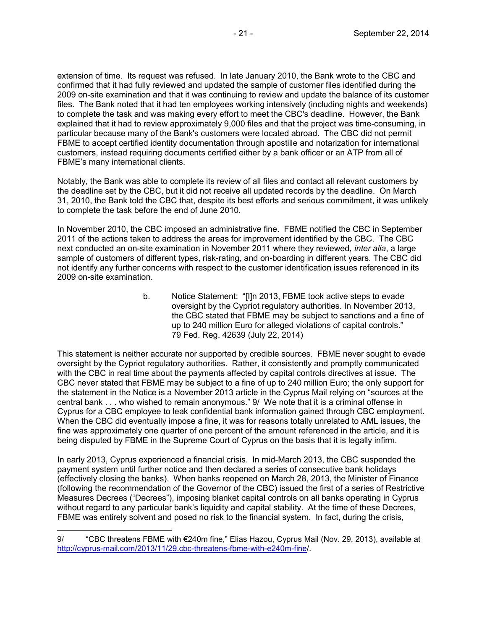extension of time. Its request was refused. In late January 2010, the Bank wrote to the CBC and confirmed that it had fully reviewed and updated the sample of customer files identified during the 2009 on-site examination and that it was continuing to review and update the balance of its customer files. The Bank noted that it had ten employees working intensively (including nights and weekends) to complete the task and was making every effort to meet the CBC's deadline. However, the Bank explained that it had to review approximately 9,000 files and that the project was time-consuming, in particular because many of the Bank's customers were located abroad. The CBC did not permit FBME to accept certified identity documentation through apostille and notarization for international customers, instead requiring documents certified either by a bank officer or an ATP from all of FBME's many international clients.

Notably, the Bank was able to complete its review of all files and contact all relevant customers by the deadline set by the CBC, but it did not receive all updated records by the deadline. On March 31, 2010, the Bank told the CBC that, despite its best efforts and serious commitment, it was unlikely to complete the task before the end of June 2010.

In November 2010, the CBC imposed an administrative fine. FBME notified the CBC in September 2011 of the actions taken to address the areas for improvement identified by the CBC. The CBC next conducted an on-site examination in November 2011 where they reviewed, *inter alia*, a large sample of customers of different types, risk-rating, and on-boarding in different years. The CBC did not identify any further concerns with respect to the customer identification issues referenced in its 2009 on-site examination.

> b. Notice Statement: "[I]n 2013, FBME took active steps to evade oversight by the Cypriot regulatory authorities. In November 2013, the CBC stated that FBME may be subject to sanctions and a fine of up to 240 million Euro for alleged violations of capital controls." 79 Fed. Reg. 42639 (July 22, 2014)

This statement is neither accurate nor supported by credible sources. FBME never sought to evade oversight by the Cypriot regulatory authorities. Rather, it consistently and promptly communicated with the CBC in real time about the payments affected by capital controls directives at issue. The CBC never stated that FBME may be subject to a fine of up to 240 million Euro; the only support for the statement in the Notice is a November 2013 article in the Cyprus Mail relying on "sources at the central bank . . . who wished to remain anonymous." 9/ We note that it is a criminal offense in Cyprus for a CBC employee to leak confidential bank information gained through CBC employment. When the CBC did eventually impose a fine, it was for reasons totally unrelated to AML issues, the fine was approximately one quarter of one percent of the amount referenced in the article, and it is being disputed by FBME in the Supreme Court of Cyprus on the basis that it is legally infirm.

In early 2013, Cyprus experienced a financial crisis. In mid-March 2013, the CBC suspended the payment system until further notice and then declared a series of consecutive bank holidays (effectively closing the banks). When banks reopened on March 28, 2013, the Minister of Finance (following the recommendation of the Governor of the CBC) issued the first of a series of Restrictive Measures Decrees ("Decrees"), imposing blanket capital controls on all banks operating in Cyprus without regard to any particular bank's liquidity and capital stability. At the time of these Decrees, FBME was entirely solvent and posed no risk to the financial system. In fact, during the crisis,

<sup>9/ &</sup>quot;CBC threatens FBME with €240m fine," Elias Hazou, Cyprus Mail (Nov. 29, 2013), available at http://cyprus-mail.com/2013/11/29.cbc-threatens-fbme-with-e240m-fine/.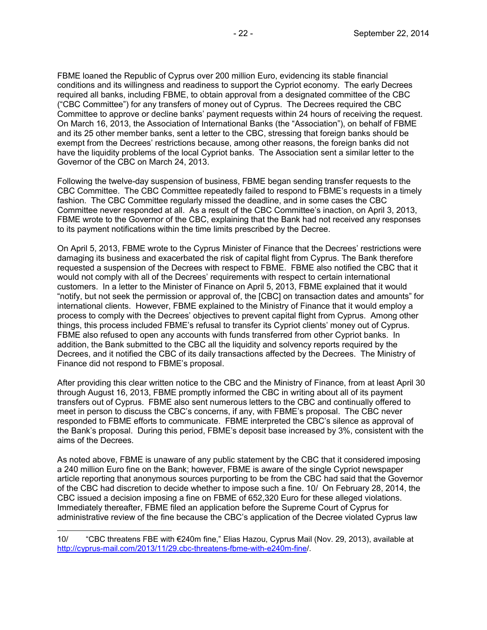FBME loaned the Republic of Cyprus over 200 million Euro, evidencing its stable financial conditions and its willingness and readiness to support the Cypriot economy. The early Decrees required all banks, including FBME, to obtain approval from a designated committee of the CBC ("CBC Committee") for any transfers of money out of Cyprus. The Decrees required the CBC Committee to approve or decline banks' payment requests within 24 hours of receiving the request. On March 16, 2013, the Association of International Banks (the "Association"), on behalf of FBME and its 25 other member banks, sent a letter to the CBC, stressing that foreign banks should be exempt from the Decrees' restrictions because, among other reasons, the foreign banks did not have the liquidity problems of the local Cypriot banks. The Association sent a similar letter to the Governor of the CBC on March 24, 2013.

Following the twelve-day suspension of business, FBME began sending transfer requests to the CBC Committee. The CBC Committee repeatedly failed to respond to FBME's requests in a timely fashion. The CBC Committee regularly missed the deadline, and in some cases the CBC Committee never responded at all. As a result of the CBC Committee's inaction, on April 3, 2013, FBME wrote to the Governor of the CBC, explaining that the Bank had not received any responses to its payment notifications within the time limits prescribed by the Decree.

On April 5, 2013, FBME wrote to the Cyprus Minister of Finance that the Decrees' restrictions were damaging its business and exacerbated the risk of capital flight from Cyprus. The Bank therefore requested a suspension of the Decrees with respect to FBME. FBME also notified the CBC that it would not comply with all of the Decrees' requirements with respect to certain international customers. In a letter to the Minister of Finance on April 5, 2013, FBME explained that it would "notify, but not seek the permission or approval of, the [CBC] on transaction dates and amounts" for international clients. However, FBME explained to the Ministry of Finance that it would employ a process to comply with the Decrees' objectives to prevent capital flight from Cyprus. Among other things, this process included FBME's refusal to transfer its Cypriot clients' money out of Cyprus. FBME also refused to open any accounts with funds transferred from other Cypriot banks. In addition, the Bank submitted to the CBC all the liquidity and solvency reports required by the Decrees, and it notified the CBC of its daily transactions affected by the Decrees. The Ministry of Finance did not respond to FBME's proposal.

After providing this clear written notice to the CBC and the Ministry of Finance, from at least April 30 through August 16, 2013, FBME promptly informed the CBC in writing about all of its payment transfers out of Cyprus. FBME also sent numerous letters to the CBC and continually offered to meet in person to discuss the CBC's concerns, if any, with FBME's proposal. The CBC never responded to FBME efforts to communicate. FBME interpreted the CBC's silence as approval of the Bank's proposal. During this period, FBME's deposit base increased by 3%, consistent with the aims of the Decrees.

As noted above, FBME is unaware of any public statement by the CBC that it considered imposing a 240 million Euro fine on the Bank; however, FBME is aware of the single Cypriot newspaper article reporting that anonymous sources purporting to be from the CBC had said that the Governor of the CBC had discretion to decide whether to impose such a fine. 10/ On February 28, 2014, the CBC issued a decision imposing a fine on FBME of 652,320 Euro for these alleged violations. Immediately thereafter, FBME filed an application before the Supreme Court of Cyprus for administrative review of the fine because the CBC's application of the Decree violated Cyprus law

<sup>10/ &</sup>quot;CBC threatens FBE with €240m fine," Elias Hazou, Cyprus Mail (Nov. 29, 2013), available at http://cyprus-mail.com/2013/11/29.cbc-threatens-fbme-with-e240m-fine/.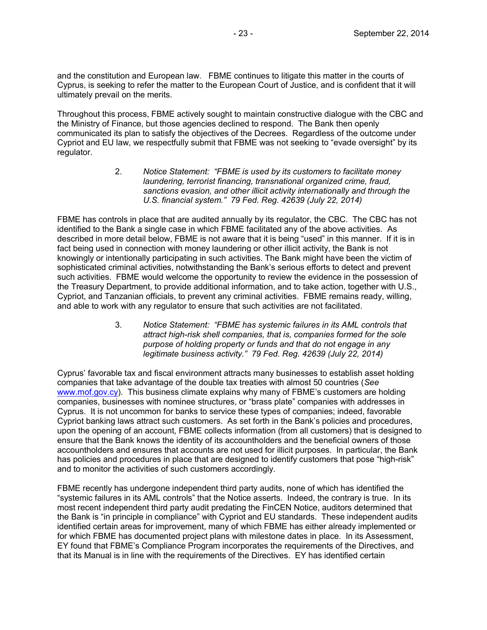and the constitution and European law. FBME continues to litigate this matter in the courts of Cyprus, is seeking to refer the matter to the European Court of Justice, and is confident that it will ultimately prevail on the merits.

Throughout this process, FBME actively sought to maintain constructive dialogue with the CBC and the Ministry of Finance, but those agencies declined to respond. The Bank then openly communicated its plan to satisfy the objectives of the Decrees. Regardless of the outcome under Cypriot and EU law, we respectfully submit that FBME was not seeking to "evade oversight" by its regulator.

> 2. *Notice Statement: "FBME is used by its customers to facilitate money laundering, terrorist financing, transnational organized crime, fraud, sanctions evasion, and other illicit activity internationally and through the U.S. financial system." 79 Fed. Reg. 42639 (July 22, 2014)*

FBME has controls in place that are audited annually by its regulator, the CBC. The CBC has not identified to the Bank a single case in which FBME facilitated any of the above activities. As described in more detail below, FBME is not aware that it is being "used" in this manner. If it is in fact being used in connection with money laundering or other illicit activity, the Bank is not knowingly or intentionally participating in such activities. The Bank might have been the victim of sophisticated criminal activities, notwithstanding the Bank's serious efforts to detect and prevent such activities. FBME would welcome the opportunity to review the evidence in the possession of the Treasury Department, to provide additional information, and to take action, together with U.S., Cypriot, and Tanzanian officials, to prevent any criminal activities. FBME remains ready, willing, and able to work with any regulator to ensure that such activities are not facilitated.

> 3. *Notice Statement: "FBME has systemic failures in its AML controls that attract high-risk shell companies, that is, companies formed for the sole purpose of holding property or funds and that do not engage in any legitimate business activity." 79 Fed. Reg. 42639 (July 22, 2014)*

Cyprus' favorable tax and fiscal environment attracts many businesses to establish asset holding companies that take advantage of the double tax treaties with almost 50 countries (*See* www.mof.gov.cy). This business climate explains why many of FBME's customers are holding companies, businesses with nominee structures, or "brass plate" companies with addresses in Cyprus. It is not uncommon for banks to service these types of companies; indeed, favorable Cypriot banking laws attract such customers. As set forth in the Bank's policies and procedures, upon the opening of an account, FBME collects information (from all customers) that is designed to ensure that the Bank knows the identity of its accountholders and the beneficial owners of those accountholders and ensures that accounts are not used for illicit purposes. In particular, the Bank has policies and procedures in place that are designed to identify customers that pose "high-risk" and to monitor the activities of such customers accordingly.

FBME recently has undergone independent third party audits, none of which has identified the "systemic failures in its AML controls" that the Notice asserts. Indeed, the contrary is true. In its most recent independent third party audit predating the FinCEN Notice, auditors determined that the Bank is "in principle in compliance" with Cypriot and EU standards. These independent audits identified certain areas for improvement, many of which FBME has either already implemented or for which FBME has documented project plans with milestone dates in place. In its Assessment, EY found that FBME's Compliance Program incorporates the requirements of the Directives, and that its Manual is in line with the requirements of the Directives. EY has identified certain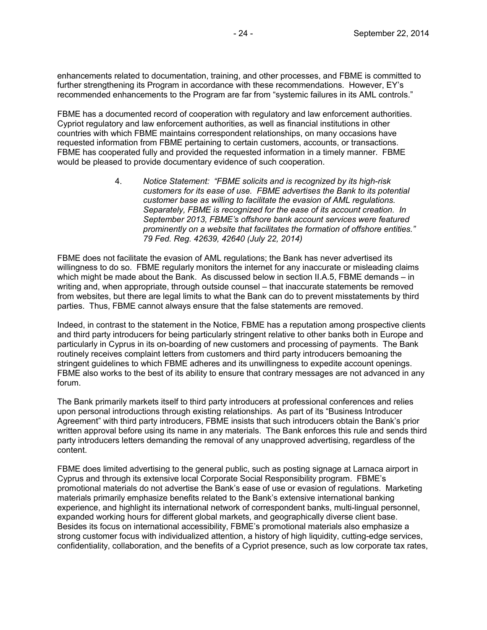enhancements related to documentation, training, and other processes, and FBME is committed to further strengthening its Program in accordance with these recommendations. However, EY's recommended enhancements to the Program are far from "systemic failures in its AML controls."

FBME has a documented record of cooperation with regulatory and law enforcement authorities. Cypriot regulatory and law enforcement authorities, as well as financial institutions in other countries with which FBME maintains correspondent relationships, on many occasions have requested information from FBME pertaining to certain customers, accounts, or transactions. FBME has cooperated fully and provided the requested information in a timely manner. FBME would be pleased to provide documentary evidence of such cooperation.

> 4. *Notice Statement: "FBME solicits and is recognized by its high-risk customers for its ease of use. FBME advertises the Bank to its potential customer base as willing to facilitate the evasion of AML regulations. Separately, FBME is recognized for the ease of its account creation. In September 2013, FBME's offshore bank account services were featured prominently on a website that facilitates the formation of offshore entities." 79 Fed. Reg. 42639, 42640 (July 22, 2014)*

FBME does not facilitate the evasion of AML regulations; the Bank has never advertised its willingness to do so. FBME regularly monitors the internet for any inaccurate or misleading claims which might be made about the Bank. As discussed below in section II.A.5, FBME demands – in writing and, when appropriate, through outside counsel – that inaccurate statements be removed from websites, but there are legal limits to what the Bank can do to prevent misstatements by third parties. Thus, FBME cannot always ensure that the false statements are removed.

Indeed, in contrast to the statement in the Notice, FBME has a reputation among prospective clients and third party introducers for being particularly stringent relative to other banks both in Europe and particularly in Cyprus in its on-boarding of new customers and processing of payments. The Bank routinely receives complaint letters from customers and third party introducers bemoaning the stringent guidelines to which FBME adheres and its unwillingness to expedite account openings. FBME also works to the best of its ability to ensure that contrary messages are not advanced in any forum.

The Bank primarily markets itself to third party introducers at professional conferences and relies upon personal introductions through existing relationships. As part of its "Business Introducer Agreement" with third party introducers, FBME insists that such introducers obtain the Bank's prior written approval before using its name in any materials. The Bank enforces this rule and sends third party introducers letters demanding the removal of any unapproved advertising, regardless of the content.

FBME does limited advertising to the general public, such as posting signage at Larnaca airport in Cyprus and through its extensive local Corporate Social Responsibility program. FBME's promotional materials do not advertise the Bank's ease of use or evasion of regulations. Marketing materials primarily emphasize benefits related to the Bank's extensive international banking experience, and highlight its international network of correspondent banks, multi-lingual personnel, expanded working hours for different global markets, and geographically diverse client base. Besides its focus on international accessibility, FBME's promotional materials also emphasize a strong customer focus with individualized attention, a history of high liquidity, cutting-edge services, confidentiality, collaboration, and the benefits of a Cypriot presence, such as low corporate tax rates,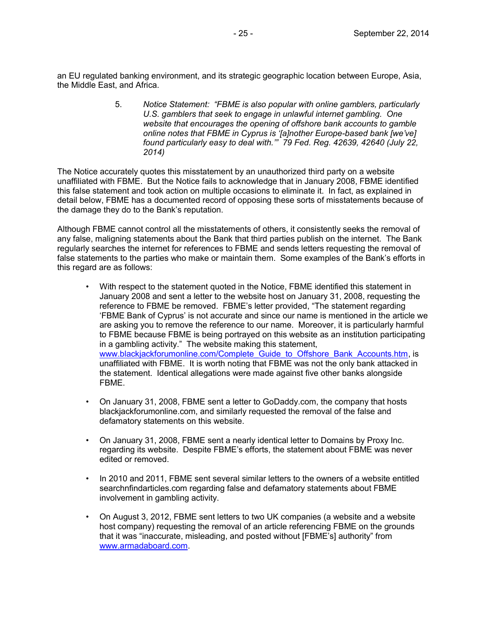an EU regulated banking environment, and its strategic geographic location between Europe, Asia, the Middle East, and Africa.

> 5. *Notice Statement: "FBME is also popular with online gamblers, particularly U.S. gamblers that seek to engage in unlawful internet gambling. One website that encourages the opening of offshore bank accounts to gamble online notes that FBME in Cyprus is '[a]nother Europe-based bank [we've] found particularly easy to deal with.'" 79 Fed. Reg. 42639, 42640 (July 22, 2014)*

The Notice accurately quotes this misstatement by an unauthorized third party on a website unaffiliated with FBME. But the Notice fails to acknowledge that in January 2008, FBME identified this false statement and took action on multiple occasions to eliminate it. In fact, as explained in detail below, FBME has a documented record of opposing these sorts of misstatements because of the damage they do to the Bank's reputation.

Although FBME cannot control all the misstatements of others, it consistently seeks the removal of any false, maligning statements about the Bank that third parties publish on the internet. The Bank regularly searches the internet for references to FBME and sends letters requesting the removal of false statements to the parties who make or maintain them. Some examples of the Bank's efforts in this regard are as follows:

- With respect to the statement quoted in the Notice, FBME identified this statement in January 2008 and sent a letter to the website host on January 31, 2008, requesting the reference to FBME be removed. FBME's letter provided, "The statement regarding 'FBME Bank of Cyprus' is not accurate and since our name is mentioned in the article we are asking you to remove the reference to our name. Moreover, it is particularly harmful to FBME because FBME is being portrayed on this website as an institution participating in a gambling activity." The website making this statement, www.blackjackforumonline.com/Complete\_Guide\_to\_Offshore\_Bank\_Accounts.htm, is unaffiliated with FBME. It is worth noting that FBME was not the only bank attacked in the statement. Identical allegations were made against five other banks alongside FBME.
- On January 31, 2008, FBME sent a letter to GoDaddy.com, the company that hosts blackjackforumonline.com, and similarly requested the removal of the false and defamatory statements on this website.
- On January 31, 2008, FBME sent a nearly identical letter to Domains by Proxy Inc. regarding its website. Despite FBME's efforts, the statement about FBME was never edited or removed.
- In 2010 and 2011, FBME sent several similar letters to the owners of a website entitled searchnfindarticles.com regarding false and defamatory statements about FBME involvement in gambling activity.
- On August 3, 2012, FBME sent letters to two UK companies (a website and a website host company) requesting the removal of an article referencing FBME on the grounds that it was "inaccurate, misleading, and posted without [FBME's] authority" from www.armadaboard.com.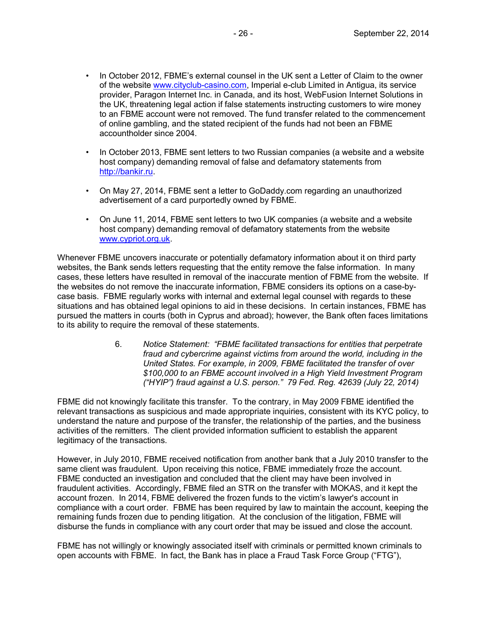- In October 2012, FBME's external counsel in the UK sent a Letter of Claim to the owner of the website www.cityclub-casino.com, Imperial e-club Limited in Antigua, its service provider, Paragon Internet Inc. in Canada, and its host, WebFusion Internet Solutions in the UK, threatening legal action if false statements instructing customers to wire money to an FBME account were not removed. The fund transfer related to the commencement of online gambling, and the stated recipient of the funds had not been an FBME accountholder since 2004.
- In October 2013, FBME sent letters to two Russian companies (a website and a website host company) demanding removal of false and defamatory statements from http://bankir.ru.
- On May 27, 2014, FBME sent a letter to GoDaddy.com regarding an unauthorized advertisement of a card purportedly owned by FBME.
- On June 11, 2014, FBME sent letters to two UK companies (a website and a website host company) demanding removal of defamatory statements from the website www.cypriot.org.uk.

Whenever FBME uncovers inaccurate or potentially defamatory information about it on third party websites, the Bank sends letters requesting that the entity remove the false information. In many cases, these letters have resulted in removal of the inaccurate mention of FBME from the website. If the websites do not remove the inaccurate information, FBME considers its options on a case-bycase basis. FBME regularly works with internal and external legal counsel with regards to these situations and has obtained legal opinions to aid in these decisions. In certain instances, FBME has pursued the matters in courts (both in Cyprus and abroad); however, the Bank often faces limitations to its ability to require the removal of these statements.

> 6. *Notice Statement: "FBME facilitated transactions for entities that perpetrate fraud and cybercrime against victims from around the world, including in the United States. For example, in 2009, FBME facilitated the transfer of over \$100,000 to an FBME account involved in a High Yield Investment Program ("HYIP") fraud against a U.S. person." 79 Fed. Reg. 42639 (July 22, 2014)*

FBME did not knowingly facilitate this transfer. To the contrary, in May 2009 FBME identified the relevant transactions as suspicious and made appropriate inquiries, consistent with its KYC policy, to understand the nature and purpose of the transfer, the relationship of the parties, and the business activities of the remitters. The client provided information sufficient to establish the apparent legitimacy of the transactions.

However, in July 2010, FBME received notification from another bank that a July 2010 transfer to the same client was fraudulent. Upon receiving this notice, FBME immediately froze the account. FBME conducted an investigation and concluded that the client may have been involved in fraudulent activities. Accordingly, FBME filed an STR on the transfer with MOKAS, and it kept the account frozen. In 2014, FBME delivered the frozen funds to the victim's lawyer's account in compliance with a court order. FBME has been required by law to maintain the account, keeping the remaining funds frozen due to pending litigation. At the conclusion of the litigation, FBME will disburse the funds in compliance with any court order that may be issued and close the account.

FBME has not willingly or knowingly associated itself with criminals or permitted known criminals to open accounts with FBME. In fact, the Bank has in place a Fraud Task Force Group ("FTG"),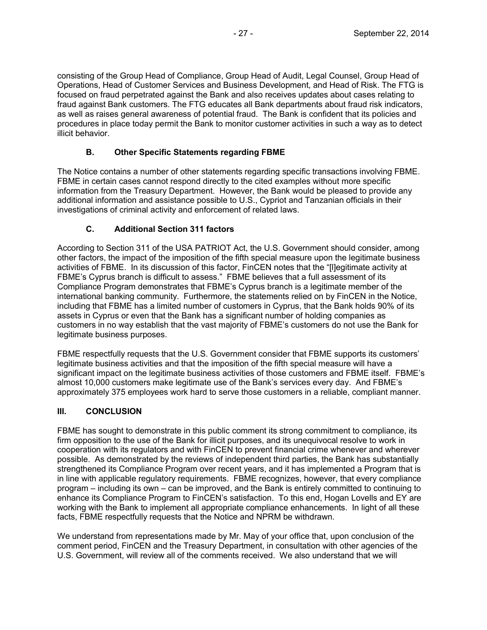consisting of the Group Head of Compliance, Group Head of Audit, Legal Counsel, Group Head of Operations, Head of Customer Services and Business Development, and Head of Risk. The FTG is focused on fraud perpetrated against the Bank and also receives updates about cases relating to fraud against Bank customers. The FTG educates all Bank departments about fraud risk indicators, as well as raises general awareness of potential fraud. The Bank is confident that its policies and procedures in place today permit the Bank to monitor customer activities in such a way as to detect illicit behavior.

## **B. Other Specific Statements regarding FBME**

The Notice contains a number of other statements regarding specific transactions involving FBME. FBME in certain cases cannot respond directly to the cited examples without more specific information from the Treasury Department. However, the Bank would be pleased to provide any additional information and assistance possible to U.S., Cypriot and Tanzanian officials in their investigations of criminal activity and enforcement of related laws.

## **C. Additional Section 311 factors**

According to Section 311 of the USA PATRIOT Act, the U.S. Government should consider, among other factors, the impact of the imposition of the fifth special measure upon the legitimate business activities of FBME. In its discussion of this factor, FinCEN notes that the "[l]egitimate activity at FBME's Cyprus branch is difficult to assess." FBME believes that a full assessment of its Compliance Program demonstrates that FBME's Cyprus branch is a legitimate member of the international banking community. Furthermore, the statements relied on by FinCEN in the Notice, including that FBME has a limited number of customers in Cyprus, that the Bank holds 90% of its assets in Cyprus or even that the Bank has a significant number of holding companies as customers in no way establish that the vast majority of FBME's customers do not use the Bank for legitimate business purposes.

FBME respectfully requests that the U.S. Government consider that FBME supports its customers' legitimate business activities and that the imposition of the fifth special measure will have a significant impact on the legitimate business activities of those customers and FBME itself. FBME's almost 10,000 customers make legitimate use of the Bank's services every day. And FBME's approximately 375 employees work hard to serve those customers in a reliable, compliant manner.

### **III. CONCLUSION**

FBME has sought to demonstrate in this public comment its strong commitment to compliance, its firm opposition to the use of the Bank for illicit purposes, and its unequivocal resolve to work in cooperation with its regulators and with FinCEN to prevent financial crime whenever and wherever possible. As demonstrated by the reviews of independent third parties, the Bank has substantially strengthened its Compliance Program over recent years, and it has implemented a Program that is in line with applicable regulatory requirements. FBME recognizes, however, that every compliance program – including its own – can be improved, and the Bank is entirely committed to continuing to enhance its Compliance Program to FinCEN's satisfaction. To this end, Hogan Lovells and EY are working with the Bank to implement all appropriate compliance enhancements. In light of all these facts, FBME respectfully requests that the Notice and NPRM be withdrawn.

We understand from representations made by Mr. May of your office that, upon conclusion of the comment period, FinCEN and the Treasury Department, in consultation with other agencies of the U.S. Government, will review all of the comments received. We also understand that we will